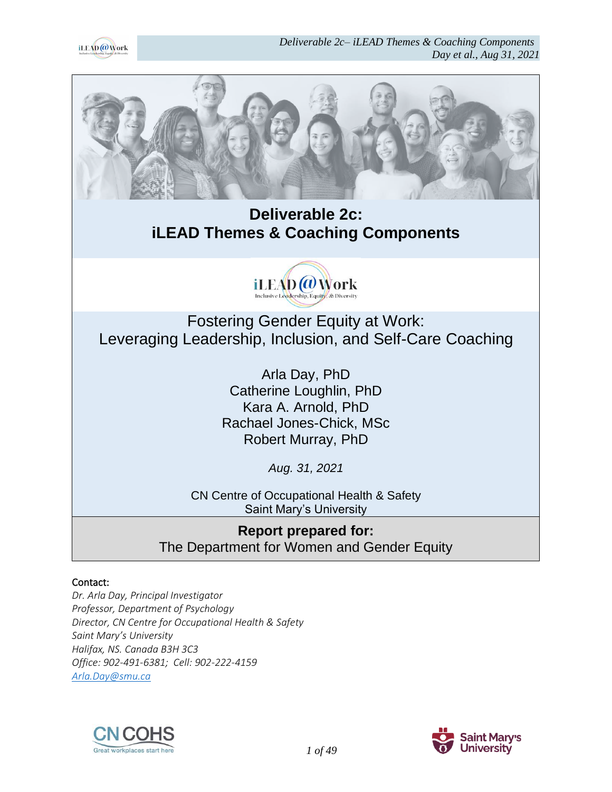



# **Deliverable 2c: iLEAD Themes & Coaching Components**



Fostering Gender Equity at Work: Leveraging Leadership, Inclusion, and Self-Care Coaching

> Arla Day, PhD Catherine Loughlin, PhD Kara A. Arnold, PhD Rachael Jones-Chick, MSc Robert Murray, PhD

> > *Aug. 31, 2021*

CN Centre of Occupational Health & Safety Saint Mary's University

**Report prepared for:** The Department for Women and Gender Equity

#### Contact:

*Dr. Arla Day, Principal Investigator Professor, Department of Psychology Director, CN Centre for Occupational Health & Safety Saint Mary's University Halifax, NS. Canada B3H 3C3 Office: 902-491-6381; Cell: 902-222-4159 [Arla.Day@smu.ca](mailto:Arla.Day@smu.ca)*



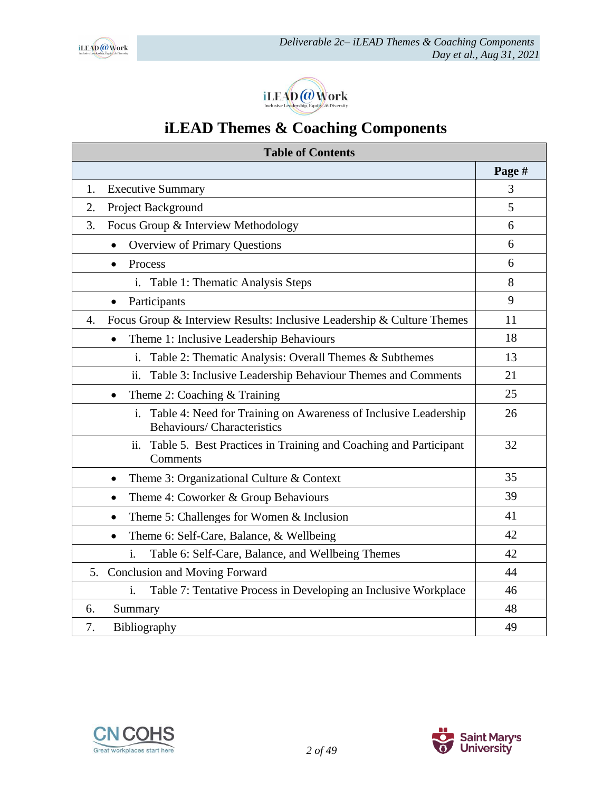



# **iLEAD Themes & Coaching Components**

| <b>Table of Contents</b>                                                                                   |        |  |  |
|------------------------------------------------------------------------------------------------------------|--------|--|--|
|                                                                                                            | Page # |  |  |
| <b>Executive Summary</b><br>1.                                                                             | 3      |  |  |
| Project Background<br>2.                                                                                   | 5      |  |  |
| Focus Group & Interview Methodology<br>3.                                                                  | 6      |  |  |
| Overview of Primary Questions<br>$\bullet$                                                                 | 6      |  |  |
| Process<br>$\bullet$                                                                                       | 6      |  |  |
| Table 1: Thematic Analysis Steps<br>i.                                                                     | 8      |  |  |
| Participants<br>$\bullet$                                                                                  | 9      |  |  |
| Focus Group & Interview Results: Inclusive Leadership & Culture Themes<br>$\overline{4}$ .                 | 11     |  |  |
| Theme 1: Inclusive Leadership Behaviours<br>$\bullet$                                                      | 18     |  |  |
| Table 2: Thematic Analysis: Overall Themes & Subthemes<br>i.                                               | 13     |  |  |
| Table 3: Inclusive Leadership Behaviour Themes and Comments<br>ii.                                         | 21     |  |  |
| Theme 2: Coaching & Training<br>$\bullet$                                                                  | 25     |  |  |
| i.<br>Table 4: Need for Training on Awareness of Inclusive Leadership<br><b>Behaviours/Characteristics</b> | 26     |  |  |
| Table 5. Best Practices in Training and Coaching and Participant<br>ii.<br>Comments                        | 32     |  |  |
| Theme 3: Organizational Culture & Context<br>$\bullet$                                                     | 35     |  |  |
| Theme 4: Coworker & Group Behaviours<br>$\bullet$                                                          | 39     |  |  |
| Theme 5: Challenges for Women $&$ Inclusion<br>$\bullet$                                                   | 41     |  |  |
| Theme 6: Self-Care, Balance, & Wellbeing<br>$\bullet$                                                      | 42     |  |  |
| Table 6: Self-Care, Balance, and Wellbeing Themes<br>i.                                                    | 42     |  |  |
| 5. Conclusion and Moving Forward                                                                           | 44     |  |  |
| Table 7: Tentative Process in Developing an Inclusive Workplace<br>i.                                      |        |  |  |
| Summary<br>6.                                                                                              | 48     |  |  |
| 7.<br>Bibliography                                                                                         | 49     |  |  |



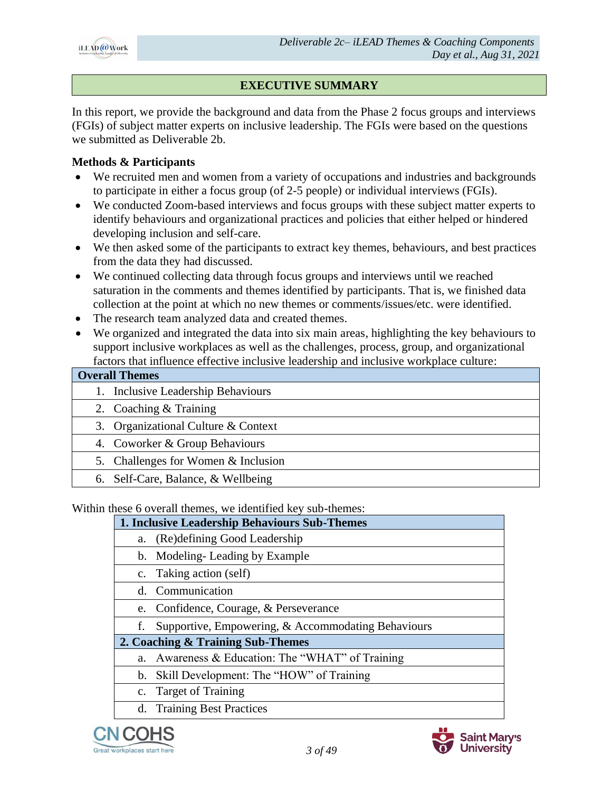

# **EXECUTIVE SUMMARY**

In this report, we provide the background and data from the Phase 2 focus groups and interviews (FGIs) of subject matter experts on inclusive leadership. The FGIs were based on the questions we submitted as Deliverable 2b.

#### **Methods & Participants**

- We recruited men and women from a variety of occupations and industries and backgrounds to participate in either a focus group (of 2-5 people) or individual interviews (FGIs).
- We conducted Zoom-based interviews and focus groups with these subject matter experts to identify behaviours and organizational practices and policies that either helped or hindered developing inclusion and self-care.
- We then asked some of the participants to extract key themes, behaviours, and best practices from the data they had discussed.
- We continued collecting data through focus groups and interviews until we reached saturation in the comments and themes identified by participants. That is, we finished data collection at the point at which no new themes or comments/issues/etc. were identified.
- The research team analyzed data and created themes.
- We organized and integrated the data into six main areas, highlighting the key behaviours to support inclusive workplaces as well as the challenges, process, group, and organizational factors that influence effective inclusive leadership and inclusive workplace culture:

| <b>Overall Themes</b>               |
|-------------------------------------|
| Inclusive Leadership Behaviours     |
| 2. Coaching $&$ Training            |
| 3. Organizational Culture & Context |
| 4. Coworker & Group Behaviours      |
| 5. Challenges for Women & Inclusion |
| 6. Self-Care, Balance, & Wellbeing  |

Within these 6 overall themes, we identified key sub-themes:

|             | 1. Inclusive Leadership Behaviours Sub-Themes      |
|-------------|----------------------------------------------------|
| a.          | (Re) defining Good Leadership                      |
|             | b. Modeling-Leading by Example                     |
|             | c. Taking action (self)                            |
|             | d. Communication                                   |
|             | e. Confidence, Courage, & Perseverance             |
| f.          | Supportive, Empowering, & Accommodating Behaviours |
|             | 2. Coaching & Training Sub-Themes                  |
| a.          | Awareness & Education: The "WHAT" of Training      |
|             | b. Skill Development: The "HOW" of Training        |
| $c_{\cdot}$ | <b>Target of Training</b>                          |
|             | d. Training Best Practices                         |



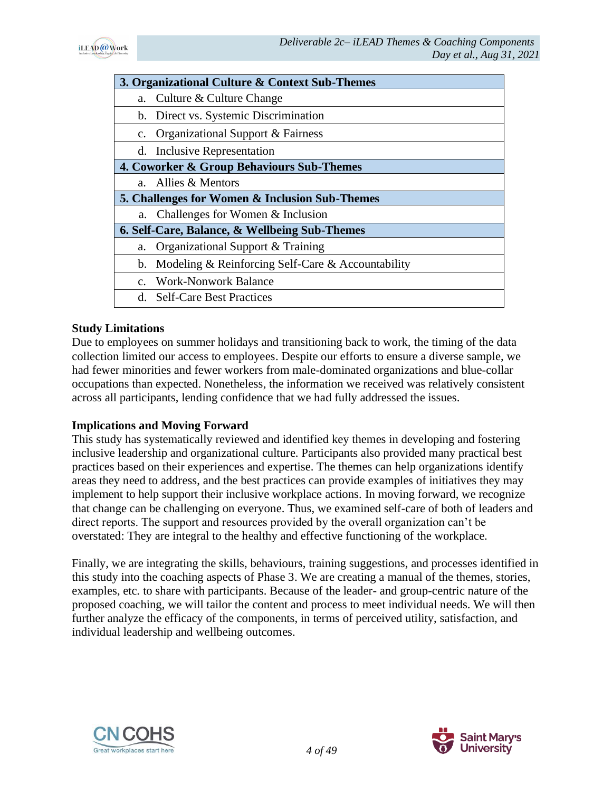

|             | 3. Organizational Culture & Context Sub-Themes    |
|-------------|---------------------------------------------------|
| a.          | Culture & Culture Change                          |
|             | b. Direct vs. Systemic Discrimination             |
| $c_{\cdot}$ | <b>Organizational Support &amp; Fairness</b>      |
|             | d. Inclusive Representation                       |
|             | 4. Coworker & Group Behaviours Sub-Themes         |
| $a_{-}$     | Allies & Mentors                                  |
|             |                                                   |
|             | 5. Challenges for Women & Inclusion Sub-Themes    |
| a.          | Challenges for Women & Inclusion                  |
|             | 6. Self-Care, Balance, & Wellbeing Sub-Themes     |
| a.          | Organizational Support & Training                 |
| $b_{\cdot}$ | Modeling & Reinforcing Self-Care & Accountability |
|             | c. Work-Nonwork Balance                           |

#### **Study Limitations**

Due to employees on summer holidays and transitioning back to work, the timing of the data collection limited our access to employees. Despite our efforts to ensure a diverse sample, we had fewer minorities and fewer workers from male-dominated organizations and blue-collar occupations than expected. Nonetheless, the information we received was relatively consistent across all participants, lending confidence that we had fully addressed the issues.

#### **Implications and Moving Forward**

This study has systematically reviewed and identified key themes in developing and fostering inclusive leadership and organizational culture. Participants also provided many practical best practices based on their experiences and expertise. The themes can help organizations identify areas they need to address, and the best practices can provide examples of initiatives they may implement to help support their inclusive workplace actions. In moving forward, we recognize that change can be challenging on everyone. Thus, we examined self-care of both of leaders and direct reports. The support and resources provided by the overall organization can't be overstated: They are integral to the healthy and effective functioning of the workplace.

Finally, we are integrating the skills, behaviours, training suggestions, and processes identified in this study into the coaching aspects of Phase 3. We are creating a manual of the themes, stories, examples, etc. to share with participants. Because of the leader- and group-centric nature of the proposed coaching, we will tailor the content and process to meet individual needs. We will then further analyze the efficacy of the components, in terms of perceived utility, satisfaction, and individual leadership and wellbeing outcomes.



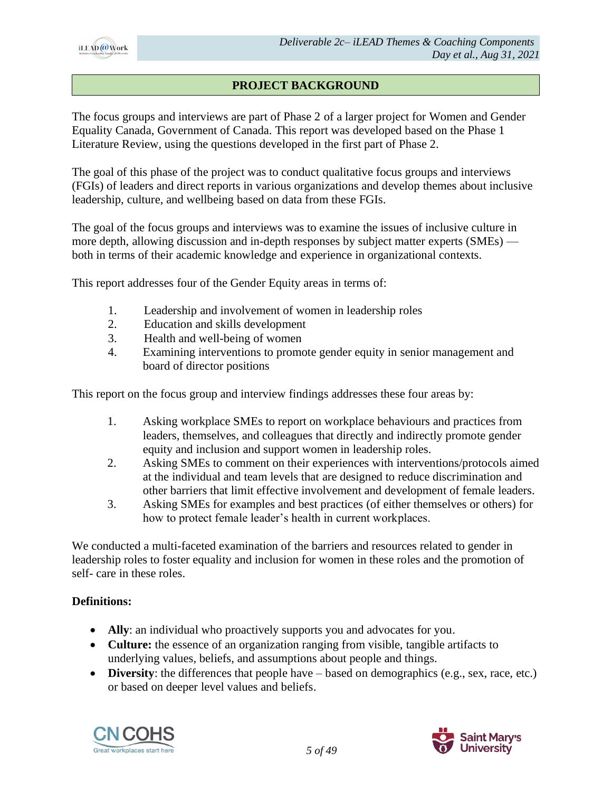

# **PROJECT BACKGROUND**

The focus groups and interviews are part of Phase 2 of a larger project for Women and Gender Equality Canada, Government of Canada. This report was developed based on the Phase 1 Literature Review, using the questions developed in the first part of Phase 2.

The goal of this phase of the project was to conduct qualitative focus groups and interviews (FGIs) of leaders and direct reports in various organizations and develop themes about inclusive leadership, culture, and wellbeing based on data from these FGIs.

The goal of the focus groups and interviews was to examine the issues of inclusive culture in more depth, allowing discussion and in-depth responses by subject matter experts (SMEs) both in terms of their academic knowledge and experience in organizational contexts.

This report addresses four of the Gender Equity areas in terms of:

- 1. Leadership and involvement of women in leadership roles
- 2. Education and skills development
- 3. Health and well-being of women
- 4. Examining interventions to promote gender equity in senior management and board of director positions

This report on the focus group and interview findings addresses these four areas by:

- 1. Asking workplace SMEs to report on workplace behaviours and practices from leaders, themselves, and colleagues that directly and indirectly promote gender equity and inclusion and support women in leadership roles.
- 2. Asking SMEs to comment on their experiences with interventions/protocols aimed at the individual and team levels that are designed to reduce discrimination and other barriers that limit effective involvement and development of female leaders.
- 3. Asking SMEs for examples and best practices (of either themselves or others) for how to protect female leader's health in current workplaces.

We conducted a multi-faceted examination of the barriers and resources related to gender in leadership roles to foster equality and inclusion for women in these roles and the promotion of self- care in these roles.

#### **Definitions:**

- **Ally**: an individual who proactively supports you and advocates for you.
- **Culture:** the essence of an organization ranging from visible, tangible artifacts to underlying values, beliefs, and assumptions about people and things.
- **Diversity**: the differences that people have based on demographics (e.g., sex, race, etc.) or based on deeper level values and beliefs.



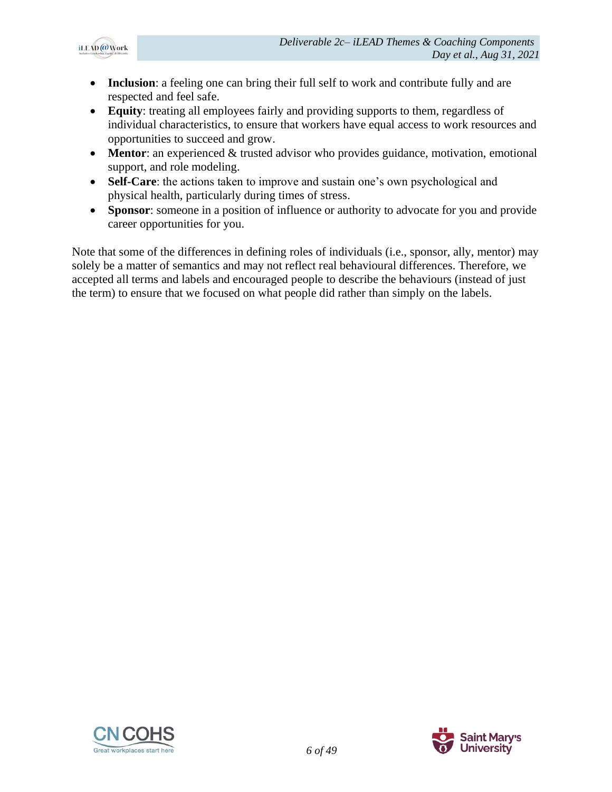

- **Inclusion**: a feeling one can bring their full self to work and contribute fully and are respected and feel safe.
- **Equity**: treating all employees fairly and providing supports to them, regardless of individual characteristics, to ensure that workers have equal access to work resources and opportunities to succeed and grow.
- **Mentor**: an experienced & trusted advisor who provides guidance, motivation, emotional support, and role modeling.
- **Self-Care**: the actions taken to improve and sustain one's own psychological and physical health, particularly during times of stress.
- **Sponsor**: someone in a position of influence or authority to advocate for you and provide career opportunities for you.

Note that some of the differences in defining roles of individuals (i.e., sponsor, ally, mentor) may solely be a matter of semantics and may not reflect real behavioural differences. Therefore, we accepted all terms and labels and encouraged people to describe the behaviours (instead of just the term) to ensure that we focused on what people did rather than simply on the labels.



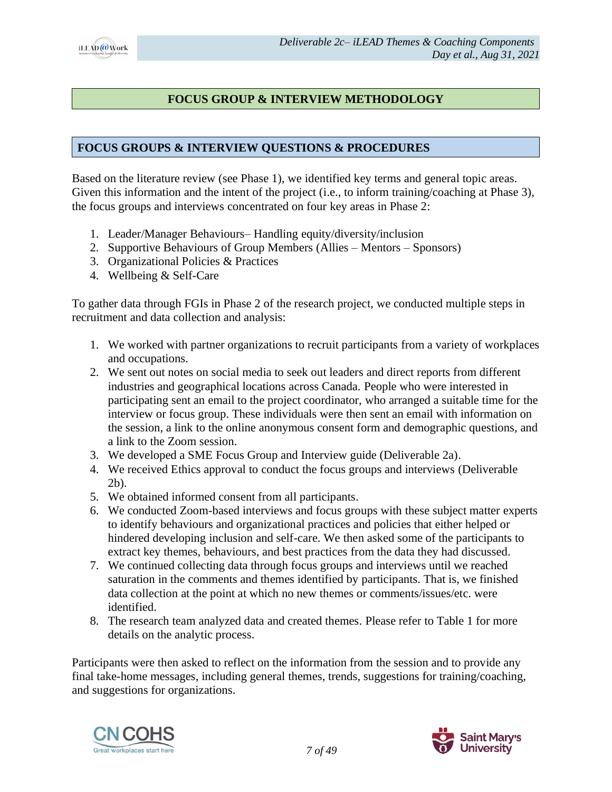

### **FOCUS GROUP & INTERVIEW METHODOLOGY**

#### **FOCUS GROUPS & INTERVIEW QUESTIONS & PROCEDURES**

Based on the literature review (see Phase 1), we identified key terms and general topic areas. Given this information and the intent of the project (i.e., to inform training/coaching at Phase 3), the focus groups and interviews concentrated on four key areas in Phase 2:

- 1. Leader/Manager Behaviours– Handling equity/diversity/inclusion
- 2. Supportive Behaviours of Group Members (Allies Mentors Sponsors)
- 3. Organizational Policies & Practices
- 4. Wellbeing & Self-Care

To gather data through FGIs in Phase 2 of the research project, we conducted multiple steps in recruitment and data collection and analysis:

- 1. We worked with partner organizations to recruit participants from a variety of workplaces and occupations.
- 2. We sent out notes on social media to seek out leaders and direct reports from different industries and geographical locations across Canada. People who were interested in participating sent an email to the project coordinator, who arranged a suitable time for the interview or focus group. These individuals were then sent an email with information on the session, a link to the online anonymous consent form and demographic questions, and a link to the Zoom session.
- 3. We developed a SME Focus Group and Interview guide (Deliverable 2a).
- 4. We received Ethics approval to conduct the focus groups and interviews (Deliverable 2b).
- 5. We obtained informed consent from all participants.
- 6. We conducted Zoom-based interviews and focus groups with these subject matter experts to identify behaviours and organizational practices and policies that either helped or hindered developing inclusion and self-care. We then asked some of the participants to extract key themes, behaviours, and best practices from the data they had discussed.
- 7. We continued collecting data through focus groups and interviews until we reached saturation in the comments and themes identified by participants. That is, we finished data collection at the point at which no new themes or comments/issues/etc. were identified.
- 8. The research team analyzed data and created themes. Please refer to Table 1 for more details on the analytic process.

Participants were then asked to reflect on the information from the session and to provide any final take-home messages, including general themes, trends, suggestions for training/coaching, and suggestions for organizations.



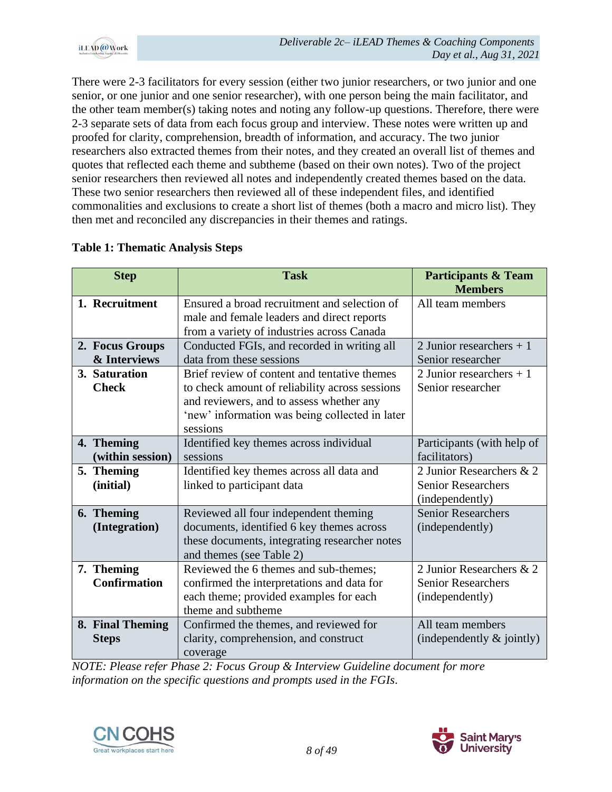

There were 2-3 facilitators for every session (either two junior researchers, or two junior and one senior, or one junior and one senior researcher), with one person being the main facilitator, and the other team member(s) taking notes and noting any follow-up questions. Therefore, there were 2-3 separate sets of data from each focus group and interview. These notes were written up and proofed for clarity, comprehension, breadth of information, and accuracy. The two junior researchers also extracted themes from their notes, and they created an overall list of themes and quotes that reflected each theme and subtheme (based on their own notes). Two of the project senior researchers then reviewed all notes and independently created themes based on the data. These two senior researchers then reviewed all of these independent files, and identified commonalities and exclusions to create a short list of themes (both a macro and micro list). They then met and reconciled any discrepancies in their themes and ratings.

| <b>Step</b>                       | <b>Task</b>                                                                                                                                                                                              | <b>Participants &amp; Team</b><br><b>Members</b>                         |
|-----------------------------------|----------------------------------------------------------------------------------------------------------------------------------------------------------------------------------------------------------|--------------------------------------------------------------------------|
| 1. Recruitment                    | Ensured a broad recruitment and selection of<br>male and female leaders and direct reports<br>from a variety of industries across Canada                                                                 | All team members                                                         |
| 2. Focus Groups<br>& Interviews   | Conducted FGIs, and recorded in writing all<br>data from these sessions                                                                                                                                  | 2 Junior researchers $+1$<br>Senior researcher                           |
| 3. Saturation<br><b>Check</b>     | Brief review of content and tentative themes<br>to check amount of reliability across sessions<br>and reviewers, and to assess whether any<br>'new' information was being collected in later<br>sessions | 2 Junior researchers $+1$<br>Senior researcher                           |
| 4. Theming<br>(within session)    | Identified key themes across individual<br>sessions                                                                                                                                                      | Participants (with help of<br>facilitators)                              |
| 5. Theming<br>(initial)           | Identified key themes across all data and<br>linked to participant data                                                                                                                                  | 2 Junior Researchers & 2<br><b>Senior Researchers</b><br>(independently) |
| 6. Theming<br>(Integration)       | Reviewed all four independent theming<br>documents, identified 6 key themes across<br>these documents, integrating researcher notes<br>and themes (see Table 2)                                          | <b>Senior Researchers</b><br>(independently)                             |
| 7. Theming<br><b>Confirmation</b> | Reviewed the 6 themes and sub-themes;<br>confirmed the interpretations and data for<br>each theme; provided examples for each<br>theme and subtheme                                                      | 2 Junior Researchers & 2<br><b>Senior Researchers</b><br>(independently) |
| 8. Final Theming<br><b>Steps</b>  | Confirmed the themes, and reviewed for<br>clarity, comprehension, and construct<br>coverage                                                                                                              | All team members<br>(independently $\&$ jointly)                         |

# **Table 1: Thematic Analysis Steps**

*NOTE: Please refer Phase 2: Focus Group & Interview Guideline document for more information on the specific questions and prompts used in the FGIs.*



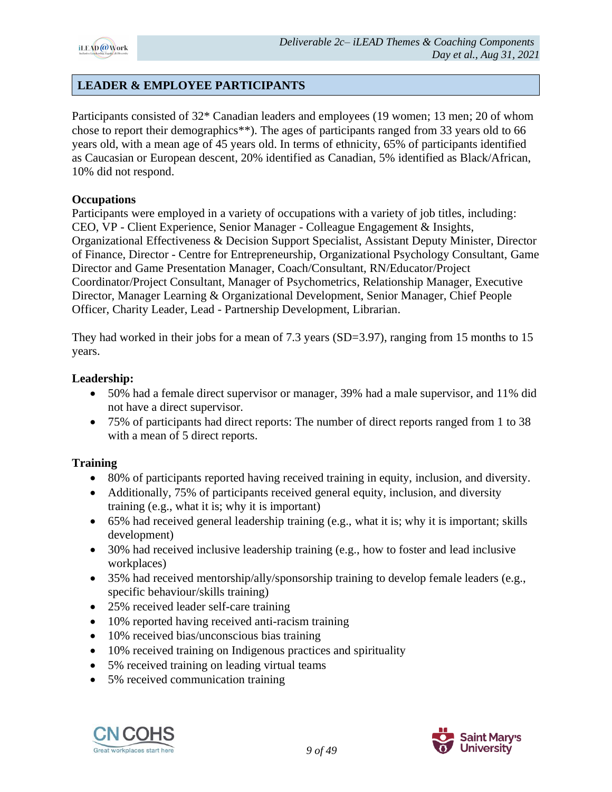

# **LEADER & EMPLOYEE PARTICIPANTS**

Participants consisted of 32\* Canadian leaders and employees (19 women; 13 men; 20 of whom chose to report their demographics\*\*). The ages of participants ranged from 33 years old to 66 years old, with a mean age of 45 years old. In terms of ethnicity, 65% of participants identified as Caucasian or European descent, 20% identified as Canadian, 5% identified as Black/African, 10% did not respond.

#### **Occupations**

Participants were employed in a variety of occupations with a variety of job titles, including: CEO, VP - Client Experience, Senior Manager - Colleague Engagement & Insights, Organizational Effectiveness & Decision Support Specialist, Assistant Deputy Minister, Director of Finance, Director - Centre for Entrepreneurship, Organizational Psychology Consultant, Game Director and Game Presentation Manager, Coach/Consultant, RN/Educator/Project Coordinator/Project Consultant, Manager of Psychometrics, Relationship Manager, Executive Director, Manager Learning & Organizational Development, Senior Manager, Chief People Officer, Charity Leader, Lead - Partnership Development, Librarian.

They had worked in their jobs for a mean of 7.3 years (SD=3.97), ranging from 15 months to 15 years.

#### **Leadership:**

- 50% had a female direct supervisor or manager, 39% had a male supervisor, and 11% did not have a direct supervisor.
- 75% of participants had direct reports: The number of direct reports ranged from 1 to 38 with a mean of 5 direct reports.

#### **Training**

- 80% of participants reported having received training in equity, inclusion, and diversity.
- Additionally, 75% of participants received general equity, inclusion, and diversity training (e.g., what it is; why it is important)
- 65% had received general leadership training (e.g., what it is; why it is important; skills development)
- 30% had received inclusive leadership training (e.g., how to foster and lead inclusive workplaces)
- 35% had received mentorship/ally/sponsorship training to develop female leaders (e.g., specific behaviour/skills training)
- 25% received leader self-care training
- 10% reported having received anti-racism training
- 10% received bias/unconscious bias training
- 10% received training on Indigenous practices and spirituality
- 5% received training on leading virtual teams
- 5% received communication training



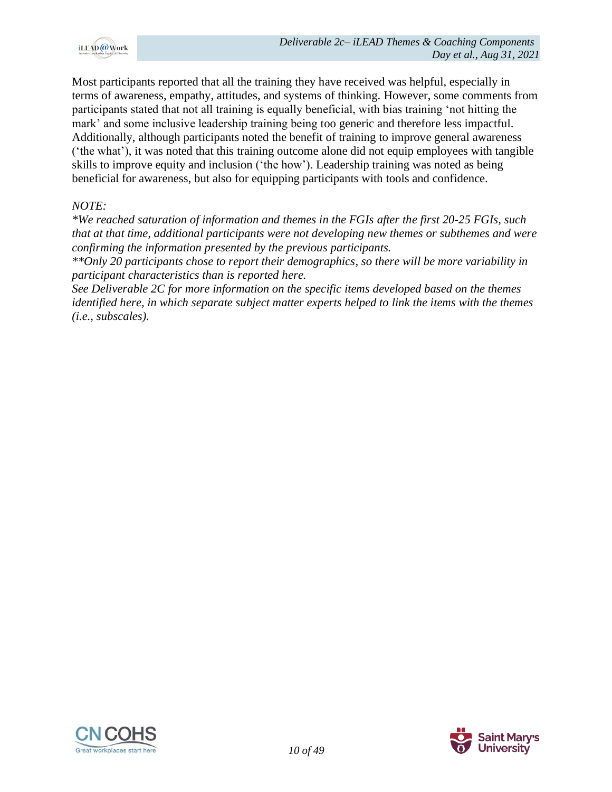

Most participants reported that all the training they have received was helpful, especially in terms of awareness, empathy, attitudes, and systems of thinking. However, some comments from participants stated that not all training is equally beneficial, with bias training 'not hitting the mark' and some inclusive leadership training being too generic and therefore less impactful. Additionally, although participants noted the benefit of training to improve general awareness ('the what'), it was noted that this training outcome alone did not equip employees with tangible skills to improve equity and inclusion ('the how'). Leadership training was noted as being beneficial for awareness, but also for equipping participants with tools and confidence.

#### *NOTE:*

*\*We reached saturation of information and themes in the FGIs after the first 20-25 FGIs, such that at that time, additional participants were not developing new themes or subthemes and were confirming the information presented by the previous participants.* 

*\*\*Only 20 participants chose to report their demographics, so there will be more variability in participant characteristics than is reported here.*

*See Deliverable 2C for more information on the specific items developed based on the themes identified here, in which separate subject matter experts helped to link the items with the themes (i.e., subscales).*



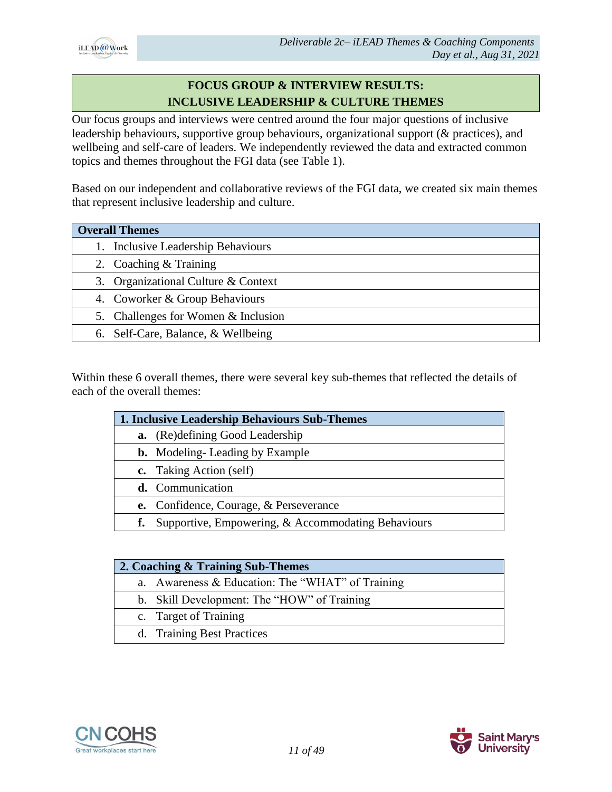

# **FOCUS GROUP & INTERVIEW RESULTS: INCLUSIVE LEADERSHIP & CULTURE THEMES**

Our focus groups and interviews were centred around the four major questions of inclusive leadership behaviours, supportive group behaviours, organizational support (& practices), and wellbeing and self-care of leaders. We independently reviewed the data and extracted common topics and themes throughout the FGI data (see Table 1).

Based on our independent and collaborative reviews of the FGI data, we created six main themes that represent inclusive leadership and culture.

| <b>Overall Themes</b>               |
|-------------------------------------|
| 1. Inclusive Leadership Behaviours  |
| 2. Coaching & Training              |
| 3. Organizational Culture & Context |
| 4. Coworker & Group Behaviours      |
| 5. Challenges for Women & Inclusion |
| 6. Self-Care, Balance, & Wellbeing  |

Within these 6 overall themes, there were several key sub-themes that reflected the details of each of the overall themes:

|    | 1. Inclusive Leadership Behaviours Sub-Themes      |  |  |  |
|----|----------------------------------------------------|--|--|--|
| a. | (Re)defining Good Leadership                       |  |  |  |
|    | <b>b.</b> Modeling-Leading by Example              |  |  |  |
|    | c. Taking Action (self)                            |  |  |  |
|    | d. Communication                                   |  |  |  |
|    | <b>e.</b> Confidence, Courage, & Perseverance      |  |  |  |
| f. | Supportive, Empowering, & Accommodating Behaviours |  |  |  |
|    |                                                    |  |  |  |

| 2. Coaching & Training Sub-Themes                |
|--------------------------------------------------|
| a. Awareness & Education: The "WHAT" of Training |
| b. Skill Development: The "HOW" of Training      |
| c. Target of Training                            |
| d. Training Best Practices                       |



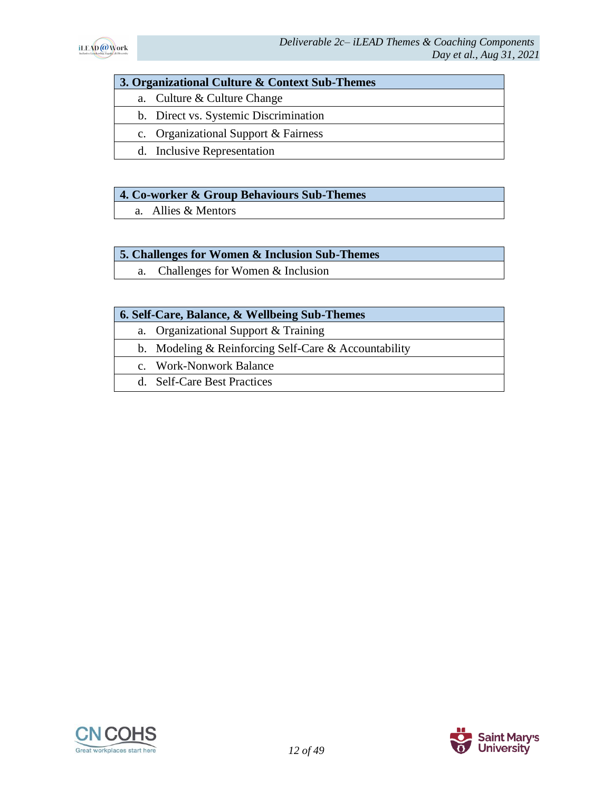

#### **3. Organizational Culture & Context Sub-Themes**

- a. Culture & Culture Change
- b. Direct vs. Systemic Discrimination
- c. Organizational Support & Fairness
- d. Inclusive Representation

#### **4. Co-worker & Group Behaviours Sub-Themes**

a. Allies & Mentors

#### **5. Challenges for Women & Inclusion Sub-Themes**

a. Challenges for Women & Inclusion

#### **6. Self-Care, Balance, & Wellbeing Sub-Themes**

- a. Organizational Support & Training
- b. Modeling & Reinforcing Self-Care & Accountability
- c. Work-Nonwork Balance
- d. Self-Care Best Practices



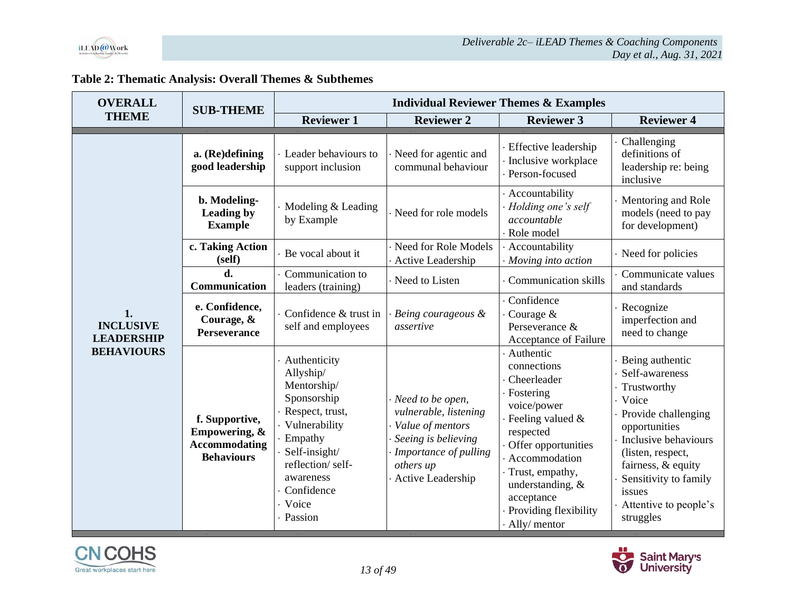

| Table 2: Thematic Analysis: Overall Themes & Subthemes |  |  |
|--------------------------------------------------------|--|--|
|--------------------------------------------------------|--|--|

| <b>OVERALL</b>                                                   | <b>SUB-THEME</b>                                                             | <b>Individual Reviewer Themes &amp; Examples</b>                                                                                                                                                   |                                                                                                                                                 |                                                                                                                                                                                                                                                          |                                                                                                                                                                                                                                                 |
|------------------------------------------------------------------|------------------------------------------------------------------------------|----------------------------------------------------------------------------------------------------------------------------------------------------------------------------------------------------|-------------------------------------------------------------------------------------------------------------------------------------------------|----------------------------------------------------------------------------------------------------------------------------------------------------------------------------------------------------------------------------------------------------------|-------------------------------------------------------------------------------------------------------------------------------------------------------------------------------------------------------------------------------------------------|
| <b>THEME</b>                                                     |                                                                              | <b>Reviewer 1</b>                                                                                                                                                                                  | <b>Reviewer 2</b>                                                                                                                               | <b>Reviewer 3</b>                                                                                                                                                                                                                                        | <b>Reviewer 4</b>                                                                                                                                                                                                                               |
|                                                                  | a. (Re)defining<br>good leadership                                           | Leader behaviours to<br>support inclusion                                                                                                                                                          | Need for agentic and<br>communal behaviour                                                                                                      | · Effective leadership<br>· Inclusive workplace<br>· Person-focused                                                                                                                                                                                      | Challenging<br>definitions of<br>leadership re: being<br>inclusive                                                                                                                                                                              |
|                                                                  | b. Modeling-<br>Leading by<br><b>Example</b>                                 | Modeling & Leading<br>by Example                                                                                                                                                                   | Need for role models                                                                                                                            | · Accountability<br>· Holding one's self<br>accountable<br>· Role model                                                                                                                                                                                  | Mentoring and Role<br>models (need to pay<br>for development)                                                                                                                                                                                   |
|                                                                  | c. Taking Action<br>(self)                                                   | · Be vocal about it                                                                                                                                                                                | Need for Role Models<br>Active Leadership                                                                                                       | Accountability<br>· Moving into action                                                                                                                                                                                                                   | Need for policies                                                                                                                                                                                                                               |
|                                                                  | d.<br>Communication                                                          | Communication to<br>leaders (training)                                                                                                                                                             | Need to Listen                                                                                                                                  | · Communication skills                                                                                                                                                                                                                                   | Communicate values<br>and standards                                                                                                                                                                                                             |
| 1.<br><b>INCLUSIVE</b><br><b>LEADERSHIP</b><br><b>BEHAVIOURS</b> | e. Confidence,<br>Courage, &<br>Perseverance                                 | Confidence & trust in<br>self and employees                                                                                                                                                        | Being courageous &<br>assertive                                                                                                                 | · Confidence<br>Courage $&$<br>Perseverance &<br>Acceptance of Failure                                                                                                                                                                                   | Recognize<br>imperfection and<br>need to change                                                                                                                                                                                                 |
|                                                                  | f. Supportive,<br>Empowering, &<br><b>Accommodating</b><br><b>Behaviours</b> | Authenticity<br>Allyship/<br>Mentorship/<br>Sponsorship<br>· Respect, trust,<br>· Vulnerability<br>Empathy<br>Self-insight/<br>reflection/self-<br>awareness<br>Confidence<br>· Voice<br>· Passion | Need to be open,<br>vulnerable, listening<br>Value of mentors<br>Seeing is believing<br>Importance of pulling<br>others up<br>Active Leadership | Authentic<br>connections<br>· Cheerleader<br>· Fostering<br>voice/power<br>· Feeling valued &<br>respected<br>Offer opportunities<br>Accommodation<br>· Trust, empathy,<br>understanding, $&$<br>acceptance<br>· Providing flexibility<br>· Ally/ mentor | Being authentic<br>Self-awareness<br>Trustworthy<br>· Voice<br>Provide challenging<br>opportunities<br>Inclusive behaviours<br>(listen, respect,<br>fairness, & equity<br>Sensitivity to family<br>issues<br>Attentive to people's<br>struggles |

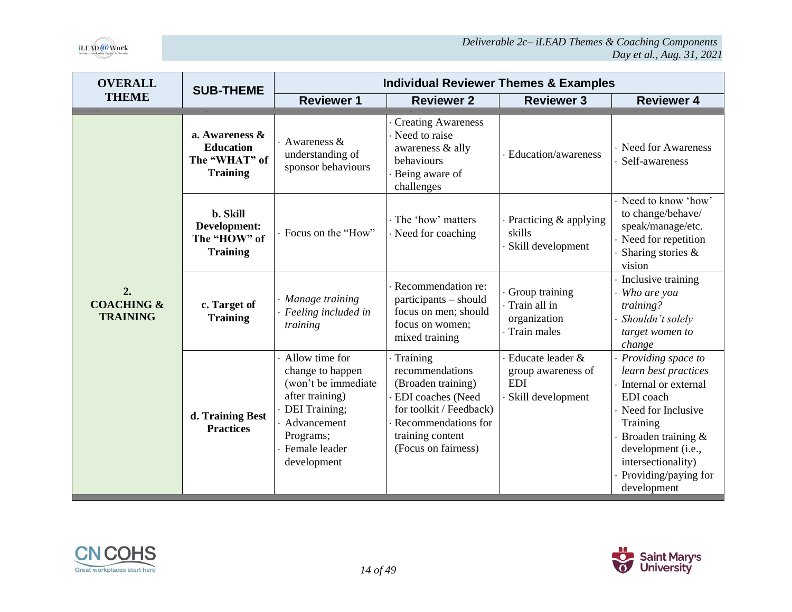

| <b>OVERALL</b>                                 | <b>SUB-THEME</b>                                                       | <b>Individual Reviewer Themes &amp; Examples</b>                                                                                                                 |                                                                                                                                                                     |                                                                           |                                                                                                                                                                                                                            |  |  |
|------------------------------------------------|------------------------------------------------------------------------|------------------------------------------------------------------------------------------------------------------------------------------------------------------|---------------------------------------------------------------------------------------------------------------------------------------------------------------------|---------------------------------------------------------------------------|----------------------------------------------------------------------------------------------------------------------------------------------------------------------------------------------------------------------------|--|--|
| <b>THEME</b>                                   |                                                                        | <b>Reviewer 1</b>                                                                                                                                                | <b>Reviewer 2</b>                                                                                                                                                   | <b>Reviewer 3</b>                                                         | <b>Reviewer 4</b>                                                                                                                                                                                                          |  |  |
|                                                | a. Awareness &<br><b>Education</b><br>The "WHAT" of<br><b>Training</b> | Awareness $\&$<br>understanding of<br>sponsor behaviours                                                                                                         | <b>Creating Awareness</b><br>Need to raise<br>awareness & ally<br>behaviours<br>Being aware of<br>challenges                                                        | Education/awareness                                                       | <b>Need for Awareness</b><br>Self-awareness                                                                                                                                                                                |  |  |
|                                                | b. Skill<br>Development:<br>The "HOW" of<br><b>Training</b>            | Focus on the "How"                                                                                                                                               | The 'how' matters<br>Need for coaching                                                                                                                              | Practicing $&$ applying<br>skills<br>Skill development                    | Need to know 'how'<br>to change/behave/<br>speak/manage/etc.<br>Need for repetition<br>Sharing stories &<br>vision                                                                                                         |  |  |
| 2.<br><b>COACHING &amp;</b><br><b>TRAINING</b> | c. Target of<br><b>Training</b>                                        | Manage training<br>Feeling included in<br>training                                                                                                               | Recommendation re:<br>participants – should<br>focus on men; should<br>focus on women;<br>mixed training                                                            | Group training<br>Train all in<br>organization<br>Train males             | Inclusive training<br>Who are you<br>training?<br>Shouldn't solely<br>target women to<br>change                                                                                                                            |  |  |
|                                                | d. Training Best<br><b>Practices</b>                                   | Allow time for<br>change to happen<br>(won't be immediate<br>after training)<br><b>DEI</b> Training;<br>Advancement<br>Programs;<br>Female leader<br>development | Training<br>recommendations<br>(Broaden training)<br>EDI coaches (Need<br>for toolkit / Feedback)<br>Recommendations for<br>training content<br>(Focus on fairness) | Educate leader &<br>group awareness of<br><b>EDI</b><br>Skill development | Providing space to<br>learn best practices<br>Internal or external<br>EDI coach<br>Need for Inclusive<br>Training<br>Broaden training &<br>development (i.e.,<br>intersectionality)<br>Providing/paying for<br>development |  |  |

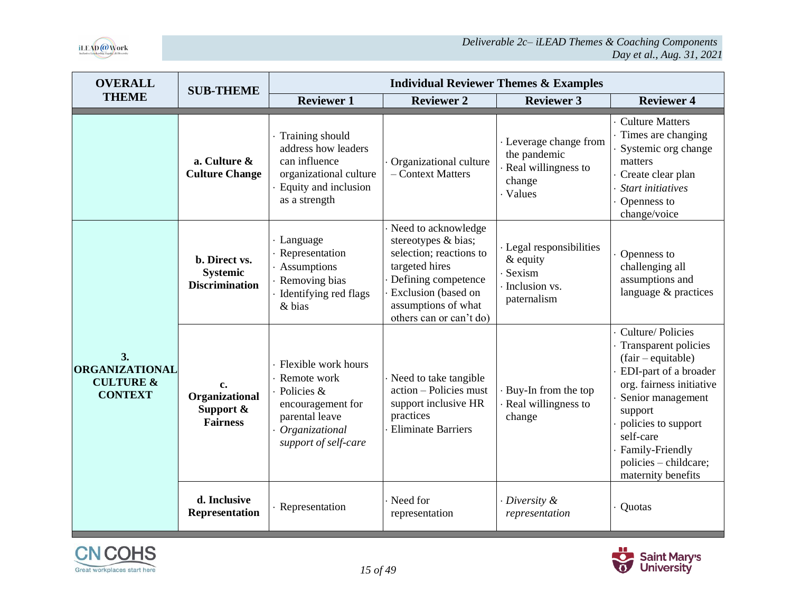

| <b>OVERALL</b>                                                        | <b>SUB-THEME</b>                                          | <b>Individual Reviewer Themes &amp; Examples</b>                                                                                  |                                                                                                                                                                                         |                                                                                     |                                                                                                                                                                                                                                                           |
|-----------------------------------------------------------------------|-----------------------------------------------------------|-----------------------------------------------------------------------------------------------------------------------------------|-----------------------------------------------------------------------------------------------------------------------------------------------------------------------------------------|-------------------------------------------------------------------------------------|-----------------------------------------------------------------------------------------------------------------------------------------------------------------------------------------------------------------------------------------------------------|
| <b>THEME</b>                                                          |                                                           | <b>Reviewer 1</b>                                                                                                                 | <b>Reviewer 2</b>                                                                                                                                                                       | <b>Reviewer 3</b>                                                                   | <b>Reviewer 4</b>                                                                                                                                                                                                                                         |
|                                                                       | a. Culture &<br><b>Culture Change</b>                     | Training should<br>address how leaders<br>can influence<br>organizational culture<br>Equity and inclusion<br>as a strength        | Organizational culture<br>- Context Matters                                                                                                                                             | · Leverage change from<br>the pandemic<br>Real willingness to<br>change<br>· Values | <b>Culture Matters</b><br>Times are changing<br>Systemic org change<br>matters<br>Create clear plan<br><b>Start initiatives</b><br>Openness to<br>change/voice                                                                                            |
| 3.<br><b>ORGANIZATIONAL</b><br><b>CULTURE &amp;</b><br><b>CONTEXT</b> | b. Direct vs.<br><b>Systemic</b><br><b>Discrimination</b> | · Language<br>Representation<br>Assumptions<br>Removing bias<br>Identifying red flags<br>& bias                                   | Need to acknowledge<br>stereotypes & bias;<br>selection; reactions to<br>targeted hires<br>Defining competence<br>Exclusion (based on<br>assumptions of what<br>others can or can't do) | · Legal responsibilities<br>$&$ equity<br>· Sexism<br>Inclusion vs.<br>paternalism  | Openness to<br>challenging all<br>assumptions and<br>language & practices                                                                                                                                                                                 |
|                                                                       | c.<br>Organizational<br>Support &<br><b>Fairness</b>      | Flexible work hours<br>Remote work<br>Policies &<br>encouragement for<br>parental leave<br>Organizational<br>support of self-care | Need to take tangible<br>action - Policies must<br>support inclusive HR<br>practices<br><b>Eliminate Barriers</b>                                                                       | Buy-In from the top<br>Real willingness to<br>change                                | Culture/Policies<br>Transparent policies<br>$(fair-equitable)$<br>EDI-part of a broader<br>org. fairness initiative<br>Senior management<br>support<br>policies to support<br>self-care<br>Family-Friendly<br>policies - childcare;<br>maternity benefits |
|                                                                       | d. Inclusive<br><b>Representation</b>                     | · Representation                                                                                                                  | Need for<br>representation                                                                                                                                                              | $\cdot$ Diversity &<br>representation                                               | Quotas                                                                                                                                                                                                                                                    |



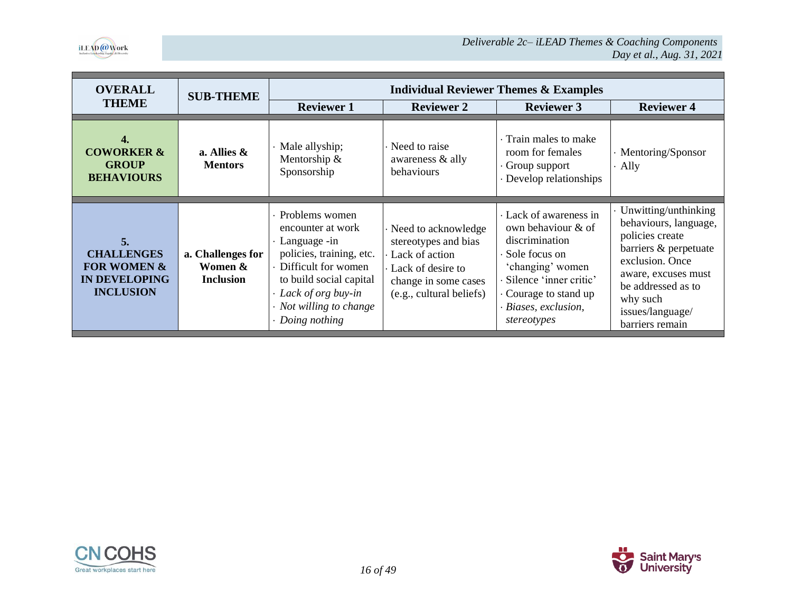

| <b>OVERALL</b>                                                                                | <b>SUB-THEME</b>                                 |                                                                                                                                                                                                               |                                                                                                                                        | <b>Individual Reviewer Themes &amp; Examples</b>                                                                                                                                              |                                                                                                                                                                                                              |
|-----------------------------------------------------------------------------------------------|--------------------------------------------------|---------------------------------------------------------------------------------------------------------------------------------------------------------------------------------------------------------------|----------------------------------------------------------------------------------------------------------------------------------------|-----------------------------------------------------------------------------------------------------------------------------------------------------------------------------------------------|--------------------------------------------------------------------------------------------------------------------------------------------------------------------------------------------------------------|
| <b>THEME</b>                                                                                  |                                                  | <b>Reviewer 1</b>                                                                                                                                                                                             | <b>Reviewer 2</b>                                                                                                                      | <b>Reviewer 3</b>                                                                                                                                                                             | <b>Reviewer 4</b>                                                                                                                                                                                            |
| 4.<br><b>COWORKER &amp;</b><br><b>GROUP</b><br><b>BEHAVIOURS</b>                              | a. Allies $\&$<br><b>Mentors</b>                 | · Male allyship;<br>Mentorship &<br>Sponsorship                                                                                                                                                               | Need to raise<br>awareness & ally<br>behaviours                                                                                        | Train males to make<br>room for females<br>$\cdot$ Group support<br>· Develop relationships                                                                                                   | · Mentoring/Sponsor<br>Ally                                                                                                                                                                                  |
| 5.<br><b>CHALLENGES</b><br><b>FOR WOMEN &amp;</b><br><b>IN DEVELOPING</b><br><b>INCLUSION</b> | a. Challenges for<br>Women &<br><b>Inclusion</b> | · Problems women<br>encounter at work<br>· Language -in<br>policies, training, etc.<br>• Difficult for women<br>to build social capital<br>· Lack of org buy-in<br>· Not willing to change<br>· Doing nothing | Need to acknowledge<br>stereotypes and bias<br>Lack of action<br>Lack of desire to<br>change in some cases<br>(e.g., cultural beliefs) | Lack of awareness in<br>own behaviour & of<br>discrimination<br>· Sole focus on<br>'changing' women<br>· Silence 'inner critic'<br>Courage to stand up<br>· Biases, exclusion,<br>stereotypes | Unwitting/unthinking<br>behaviours, language,<br>policies create<br>barriers & perpetuate<br>exclusion. Once<br>aware, excuses must<br>be addressed as to<br>why such<br>issues/language/<br>barriers remain |



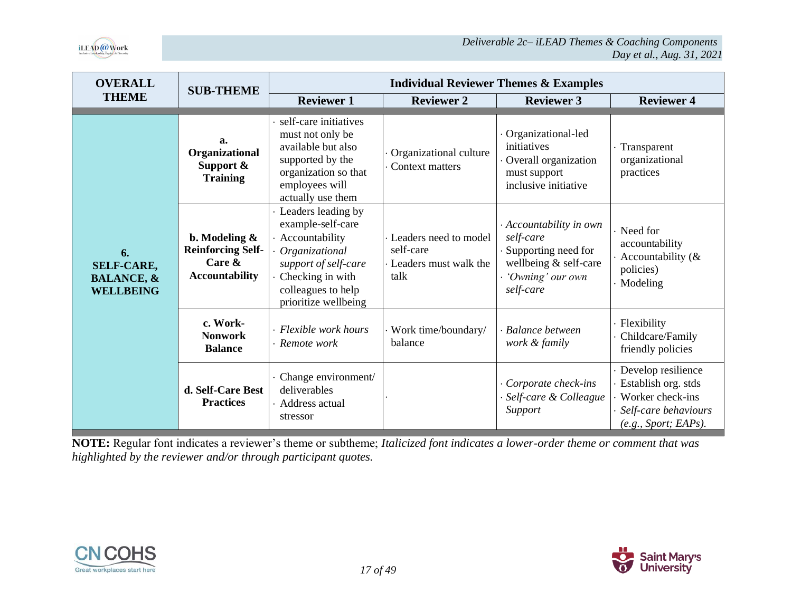

| <b>OVERALL</b>                                                       | <b>SUB-THEME</b>                                                                   | <b>Individual Reviewer Themes &amp; Examples</b>                                                                                                                      |                                                                     |                                                                                                                       |                                                                                                                 |
|----------------------------------------------------------------------|------------------------------------------------------------------------------------|-----------------------------------------------------------------------------------------------------------------------------------------------------------------------|---------------------------------------------------------------------|-----------------------------------------------------------------------------------------------------------------------|-----------------------------------------------------------------------------------------------------------------|
| <b>THEME</b>                                                         |                                                                                    | <b>Reviewer 1</b>                                                                                                                                                     | <b>Reviewer 2</b>                                                   | <b>Reviewer 3</b>                                                                                                     | <b>Reviewer 4</b>                                                                                               |
|                                                                      | a.<br>Organizational<br>Support $\&$<br><b>Training</b>                            | self-care initiatives<br>must not only be<br>available but also<br>supported by the<br>organization so that<br>employees will<br>actually use them                    | Organizational culture<br>Context matters                           | Organizational-led<br>initiatives<br>Overall organization<br>must support<br>inclusive initiative                     | Transparent<br>organizational<br>practices                                                                      |
| 6.<br><b>SELF-CARE,</b><br><b>BALANCE, &amp;</b><br><b>WELLBEING</b> | b. Modeling $\&$<br><b>Reinforcing Self-</b><br>Care $\&$<br><b>Accountability</b> | Leaders leading by<br>example-self-care<br>Accountability<br>Organizational<br>support of self-care<br>Checking in with<br>colleagues to help<br>prioritize wellbeing | Leaders need to model<br>self-care<br>Leaders must walk the<br>talk | · Accountability in own<br>self-care<br>Supporting need for<br>wellbeing & self-care<br>'Owning' our own<br>self-care | · Need for<br>accountability<br>Accountability $(\&$<br>policies)<br>· Modeling                                 |
|                                                                      | c. Work-<br><b>Nonwork</b><br><b>Balance</b>                                       | Flexible work hours<br>Remote work                                                                                                                                    | Work time/boundary/<br>balance                                      | <b>Balance between</b><br>work & family                                                                               | · Flexibility<br>Childcare/Family<br>friendly policies                                                          |
|                                                                      | d. Self-Care Best<br><b>Practices</b>                                              | Change environment/<br>deliverables<br>Address actual<br>stressor                                                                                                     |                                                                     | Corporate check-ins<br>Self-care & Colleague<br>Support                                                               | · Develop resilience<br>Establish org. stds<br>Worker check-ins<br>Self-care behaviours<br>(e.g., Sport; EAPs). |

**NOTE:** Regular font indicates a reviewer's theme or subtheme; *Italicized font indicates a lower-order theme or comment that was highlighted by the reviewer and/or through participant quotes.*



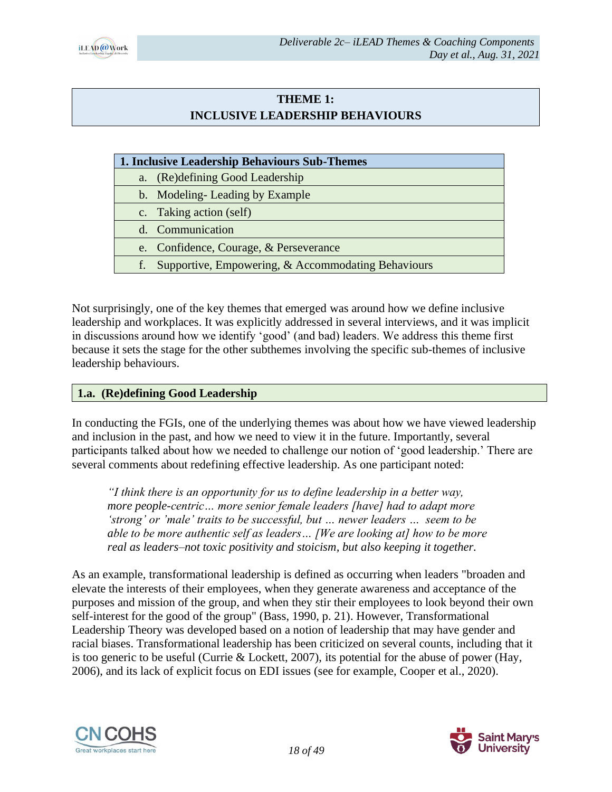

### **THEME 1: INCLUSIVE LEADERSHIP BEHAVIOURS**

|--|

a. (Re)defining Good Leadership

b. Modeling- Leading by Example

c. Taking action (self)

d. Communication

- e. Confidence, Courage, & Perseverance
- f. Supportive, Empowering, & Accommodating Behaviours

Not surprisingly, one of the key themes that emerged was around how we define inclusive leadership and workplaces. It was explicitly addressed in several interviews, and it was implicit in discussions around how we identify 'good' (and bad) leaders. We address this theme first because it sets the stage for the other subthemes involving the specific sub-themes of inclusive leadership behaviours.

# **1.a. (Re)defining Good Leadership**

In conducting the FGIs, one of the underlying themes was about how we have viewed leadership and inclusion in the past, and how we need to view it in the future. Importantly, several participants talked about how we needed to challenge our notion of 'good leadership.' There are several comments about redefining effective leadership. As one participant noted:

*"I think there is an opportunity for us to define leadership in a better way, more people-centric… more senior female leaders [have] had to adapt more 'strong' or 'male' traits to be successful, but … newer leaders … seem to be able to be more authentic self as leaders… [We are looking at] how to be more real as leaders–not toxic positivity and stoicism, but also keeping it together.*

As an example, transformational leadership is defined as occurring when leaders "broaden and elevate the interests of their employees, when they generate awareness and acceptance of the purposes and mission of the group, and when they stir their employees to look beyond their own self-interest for the good of the group" (Bass, 1990, p. 21). However, Transformational Leadership Theory was developed based on a notion of leadership that may have gender and racial biases. Transformational leadership has been criticized on several counts, including that it is too generic to be useful (Currie & Lockett, 2007), its potential for the abuse of power (Hay, 2006), and its lack of explicit focus on EDI issues (see for example, Cooper et al., 2020).



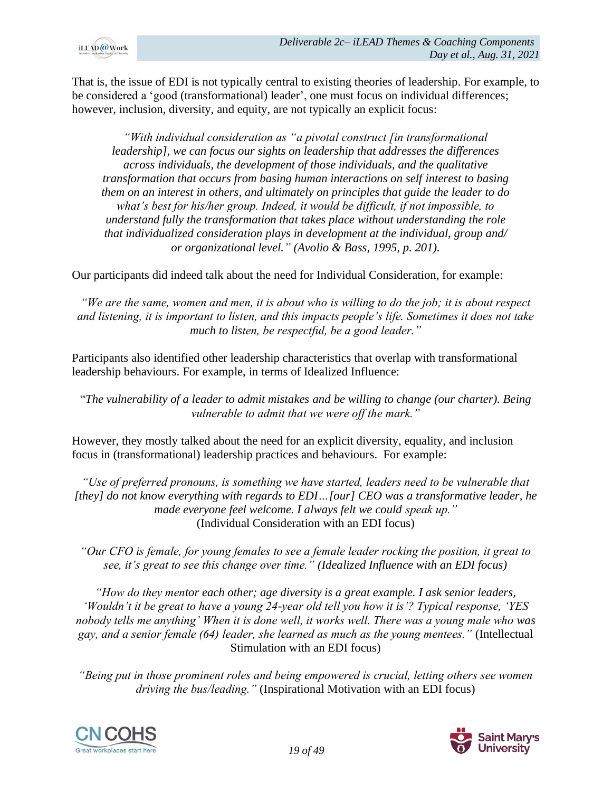

That is, the issue of EDI is not typically central to existing theories of leadership. For example, to be considered a 'good (transformational) leader', one must focus on individual differences; however, inclusion, diversity, and equity, are not typically an explicit focus:

*"With individual consideration as "a pivotal construct [in transformational leadership], we can focus our sights on leadership that addresses the differences across individuals, the development of those individuals, and the qualitative transformation that occurs from basing human interactions on self interest to basing them on an interest in others, and ultimately on principles that guide the leader to do what's best for his/her group. Indeed, it would be difficult, if not impossible, to understand fully the transformation that takes place without understanding the role that individualized consideration plays in development at the individual, group and/ or organizational level." (Avolio & Bass, 1995, p. 201).*

Our participants did indeed talk about the need for Individual Consideration, for example:

*"We are the same, women and men, it is about who is willing to do the job; it is about respect and listening, it is important to listen, and this impacts people's life. Sometimes it does not take much to listen, be respectful, be a good leader."*

Participants also identified other leadership characteristics that overlap with transformational leadership behaviours. For example, in terms of Idealized Influence:

"*The vulnerability of a leader to admit mistakes and be willing to change (our charter). Being vulnerable to admit that we were off the mark."*

However, they mostly talked about the need for an explicit diversity, equality, and inclusion focus in (transformational) leadership practices and behaviours. For example:

*"Use of preferred pronouns, is something we have started, leaders need to be vulnerable that [they] do not know everything with regards to EDI…[our] CEO was a transformative leader, he made everyone feel welcome. I always felt we could speak up."* (Individual Consideration with an EDI focus)

*"Our CFO is female, for young females to see a female leader rocking the position, it great to see, it's great to see this change over time." (Idealized Influence with an EDI focus)*

*"How do they mentor each other; age diversity is a great example. I ask senior leaders, 'Wouldn't it be great to have a young 24-year old tell you how it is'? Typical response, 'YES nobody tells me anything' When it is done well, it works well. There was a young male who was gay, and a senior female (64) leader, she learned as much as the young mentees."* (Intellectual Stimulation with an EDI focus)

*"Being put in those prominent roles and being empowered is crucial, letting others see women driving the bus/leading."* (Inspirational Motivation with an EDI focus)



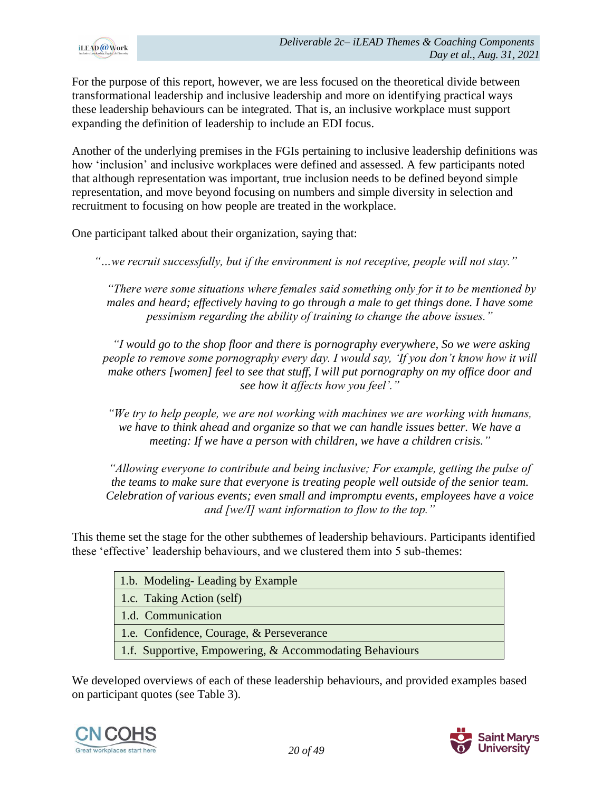

For the purpose of this report, however, we are less focused on the theoretical divide between transformational leadership and inclusive leadership and more on identifying practical ways these leadership behaviours can be integrated. That is, an inclusive workplace must support expanding the definition of leadership to include an EDI focus.

Another of the underlying premises in the FGIs pertaining to inclusive leadership definitions was how 'inclusion' and inclusive workplaces were defined and assessed. A few participants noted that although representation was important, true inclusion needs to be defined beyond simple representation, and move beyond focusing on numbers and simple diversity in selection and recruitment to focusing on how people are treated in the workplace.

One participant talked about their organization, saying that:

*"…we recruit successfully, but if the environment is not receptive, people will not stay."*

*"There were some situations where females said something only for it to be mentioned by males and heard; effectively having to go through a male to get things done. I have some pessimism regarding the ability of training to change the above issues."*

*"I would go to the shop floor and there is pornography everywhere, So we were asking people to remove some pornography every day. I would say, 'If you don't know how it will make others [women] feel to see that stuff, I will put pornography on my office door and see how it affects how you feel'."*

*"We try to help people, we are not working with machines we are working with humans, we have to think ahead and organize so that we can handle issues better. We have a meeting: If we have a person with children, we have a children crisis."*

*"Allowing everyone to contribute and being inclusive; For example, getting the pulse of the teams to make sure that everyone is treating people well outside of the senior team. Celebration of various events; even small and impromptu events, employees have a voice and [we/I] want information to flow to the top."*

This theme set the stage for the other subthemes of leadership behaviours. Participants identified these 'effective' leadership behaviours, and we clustered them into 5 sub-themes:

| 1.b. Modeling-Leading by Example                        |
|---------------------------------------------------------|
| 1.c. Taking Action (self)                               |
| 1.d. Communication                                      |
| 1.e. Confidence, Courage, & Perseverance                |
| 1.f. Supportive, Empowering, & Accommodating Behaviours |

We developed overviews of each of these leadership behaviours, and provided examples based on participant quotes (see Table 3).



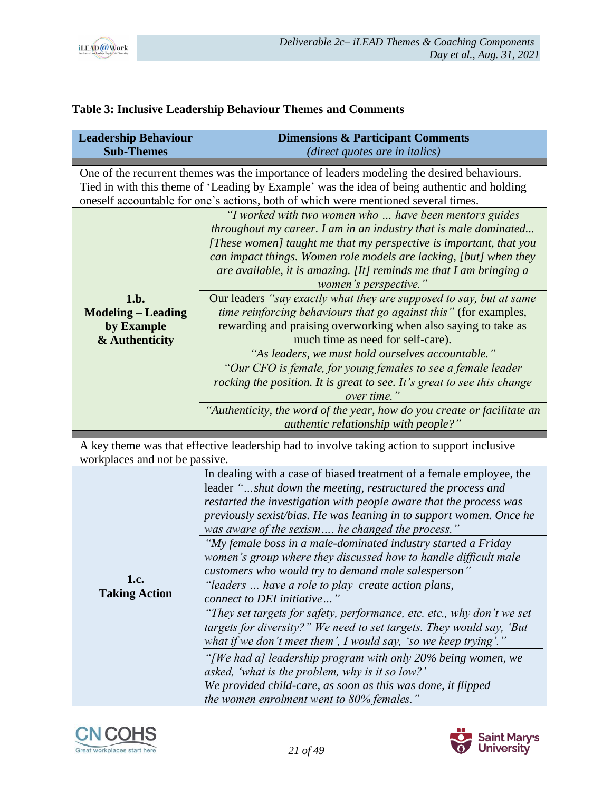

# **Table 3: Inclusive Leadership Behaviour Themes and Comments**

| <b>Leadership Behaviour</b>                                       | <b>Dimensions &amp; Participant Comments</b>                                                                                                                                                                                                                                                                                                                                                          |
|-------------------------------------------------------------------|-------------------------------------------------------------------------------------------------------------------------------------------------------------------------------------------------------------------------------------------------------------------------------------------------------------------------------------------------------------------------------------------------------|
| <b>Sub-Themes</b>                                                 | (direct quotes are in italics)                                                                                                                                                                                                                                                                                                                                                                        |
|                                                                   | One of the recurrent themes was the importance of leaders modeling the desired behaviours.                                                                                                                                                                                                                                                                                                            |
|                                                                   | Tied in with this theme of 'Leading by Example' was the idea of being authentic and holding                                                                                                                                                                                                                                                                                                           |
|                                                                   | oneself accountable for one's actions, both of which were mentioned several times.                                                                                                                                                                                                                                                                                                                    |
|                                                                   | "I worked with two women who  have been mentors guides<br>throughout my career. I am in an industry that is male dominated<br>[These women] taught me that my perspective is important, that you<br>can impact things. Women role models are lacking, [but] when they<br>are available, it is amazing. [It] reminds me that I am bringing a<br>women's perspective."                                  |
| 1.b.<br><b>Modeling – Leading</b><br>by Example<br>& Authenticity | Our leaders "say exactly what they are supposed to say, but at same<br>time reinforcing behaviours that go against this" (for examples,<br>rewarding and praising overworking when also saying to take as<br>much time as need for self-care).                                                                                                                                                        |
|                                                                   | "As leaders, we must hold ourselves accountable."                                                                                                                                                                                                                                                                                                                                                     |
|                                                                   | "Our CFO is female, for young females to see a female leader                                                                                                                                                                                                                                                                                                                                          |
|                                                                   | rocking the position. It is great to see. It's great to see this change                                                                                                                                                                                                                                                                                                                               |
|                                                                   | over time."                                                                                                                                                                                                                                                                                                                                                                                           |
|                                                                   | "Authenticity, the word of the year, how do you create or facilitate an<br><i>authentic relationship with people?"</i>                                                                                                                                                                                                                                                                                |
| workplaces and not be passive.                                    | A key theme was that effective leadership had to involve taking action to support inclusive                                                                                                                                                                                                                                                                                                           |
|                                                                   | In dealing with a case of biased treatment of a female employee, the<br>leader "shut down the meeting, restructured the process and<br>restarted the investigation with people aware that the process was<br>previously sexist/bias. He was leaning in to support women. Once he<br>was aware of the sexism he changed the process."<br>"My female boss in a male-dominated industry started a Friday |
|                                                                   | women's group where they discussed how to handle difficult male<br>customers who would try to demand male salesperson"                                                                                                                                                                                                                                                                                |
| 1.c.<br><b>Taking Action</b>                                      | "leaders  have a role to play–create action plans,<br>connect to DEI initiative"                                                                                                                                                                                                                                                                                                                      |
|                                                                   | "They set targets for safety, performance, etc. etc., why don't we set<br>targets for diversity?" We need to set targets. They would say, 'But<br>what if we don't meet them', I would say, 'so we keep trying'."                                                                                                                                                                                     |
|                                                                   | "[We had a] leadership program with only 20% being women, we<br>asked, 'what is the problem, why is it so low?'                                                                                                                                                                                                                                                                                       |
|                                                                   | We provided child-care, as soon as this was done, it flipped<br>the women enrolment went to 80% females."                                                                                                                                                                                                                                                                                             |



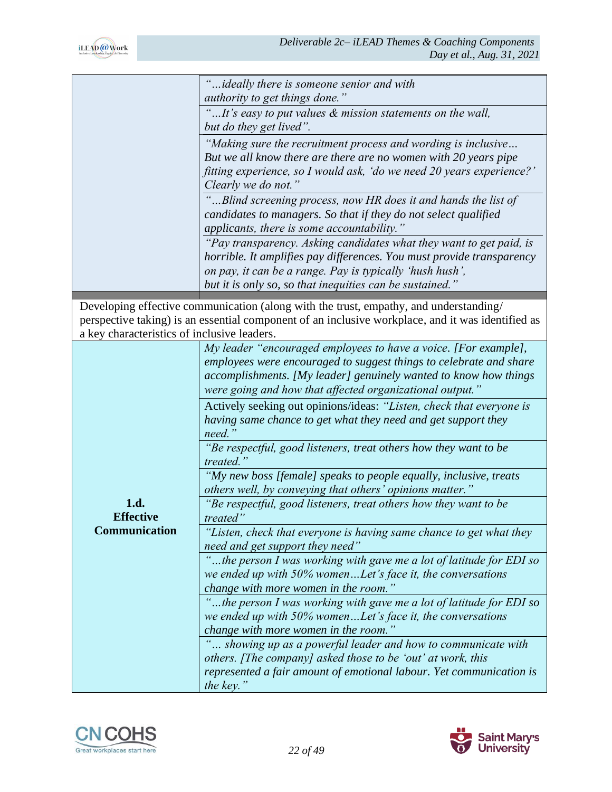|                                             | ideally there is someone senior and with                                                                                               |
|---------------------------------------------|----------------------------------------------------------------------------------------------------------------------------------------|
|                                             | authority to get things done."                                                                                                         |
|                                             | "It's easy to put values & mission statements on the wall,<br>but do they get lived".                                                  |
|                                             | "Making sure the recruitment process and wording is inclusive                                                                          |
|                                             | But we all know there are there are no women with 20 years pipe                                                                        |
|                                             | fitting experience, so I would ask, 'do we need 20 years experience?'                                                                  |
|                                             | Clearly we do not."                                                                                                                    |
|                                             | "Blind screening process, now HR does it and hands the list of                                                                         |
|                                             | candidates to managers. So that if they do not select qualified                                                                        |
|                                             | applicants, there is some accountability."                                                                                             |
|                                             | "Pay transparency. Asking candidates what they want to get paid, is                                                                    |
|                                             | horrible. It amplifies pay differences. You must provide transparency                                                                  |
|                                             | on pay, it can be a range. Pay is typically 'hush hush',                                                                               |
|                                             | but it is only so, so that inequities can be sustained."                                                                               |
|                                             | Developing effective communication (along with the trust, empathy, and understanding/                                                  |
|                                             | perspective taking) is an essential component of an inclusive workplace, and it was identified as                                      |
| a key characteristics of inclusive leaders. |                                                                                                                                        |
|                                             | My leader "encouraged employees to have a voice. [For example],                                                                        |
|                                             | employees were encouraged to suggest things to celebrate and share<br>accomplishments. [My leader] genuinely wanted to know how things |
|                                             | were going and how that affected organizational output."                                                                               |
|                                             | Actively seeking out opinions/ideas: "Listen, check that everyone is                                                                   |
|                                             | having same chance to get what they need and get support they                                                                          |
|                                             | need.                                                                                                                                  |
|                                             | "Be respectful, good listeners, treat others how they want to be                                                                       |
|                                             | treated."                                                                                                                              |
|                                             | "My new boss [female] speaks to people equally, inclusive, treats                                                                      |
|                                             | others well, by conveying that others' opinions matter."                                                                               |
| 1.d.<br><b>Effective</b>                    | "Be respectful, good listeners, treat others how they want to be                                                                       |
| Communication                               | treated"                                                                                                                               |
|                                             | "Listen, check that everyone is having same chance to get what they<br>need and get support they need"                                 |
|                                             | "the person I was working with gave me a lot of latitude for EDI so                                                                    |
|                                             | we ended up with 50% womenLet's face it, the conversations                                                                             |
|                                             | change with more women in the room."                                                                                                   |
|                                             | "the person I was working with gave me a lot of latitude for EDI so                                                                    |
|                                             | we ended up with $50\%$ womenLet's face it, the conversations                                                                          |
|                                             | change with more women in the room."                                                                                                   |
|                                             | showing up as a powerful leader and how to communicate with                                                                            |
|                                             | others. [The company] asked those to be 'out' at work, this                                                                            |
|                                             | represented a fair amount of emotional labour. Yet communication is                                                                    |
|                                             | the key."                                                                                                                              |



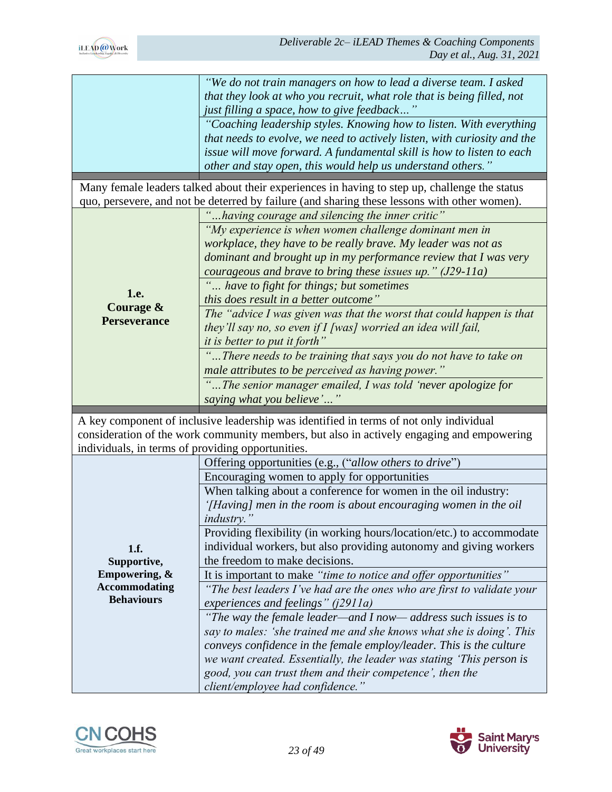

|                                                   | "We do not train managers on how to lead a diverse team. I asked<br>that they look at who you recruit, what role that is being filled, not<br>just filling a space, how to give feedback"                                                                                               |
|---------------------------------------------------|-----------------------------------------------------------------------------------------------------------------------------------------------------------------------------------------------------------------------------------------------------------------------------------------|
|                                                   | "Coaching leadership styles. Knowing how to listen. With everything<br>that needs to evolve, we need to actively listen, with curiosity and the<br>issue will move forward. A fundamental skill is how to listen to each<br>other and stay open, this would help us understand others." |
|                                                   |                                                                                                                                                                                                                                                                                         |
|                                                   | Many female leaders talked about their experiences in having to step up, challenge the status<br>quo, persevere, and not be deterred by failure (and sharing these lessons with other women).                                                                                           |
|                                                   | "having courage and silencing the inner critic"                                                                                                                                                                                                                                         |
|                                                   | "My experience is when women challenge dominant men in<br>workplace, they have to be really brave. My leader was not as<br>dominant and brought up in my performance review that I was very<br>courageous and brave to bring these issues up." $(J29-11a)$                              |
|                                                   |                                                                                                                                                                                                                                                                                         |
| 1.e.<br><b>Courage &amp;</b>                      | " have to fight for things; but sometimes<br>this does result in a better outcome"                                                                                                                                                                                                      |
| <b>Perseverance</b>                               | The "advice I was given was that the worst that could happen is that<br>they'll say no, so even if I [was] worried an idea will fail,<br><i>it is better to put it forth</i> "                                                                                                          |
|                                                   | "There needs to be training that says you do not have to take on                                                                                                                                                                                                                        |
|                                                   | male attributes to be perceived as having power."                                                                                                                                                                                                                                       |
|                                                   |                                                                                                                                                                                                                                                                                         |
|                                                   |                                                                                                                                                                                                                                                                                         |
|                                                   | The senior manager emailed, I was told 'never apologize for                                                                                                                                                                                                                             |
|                                                   | saying what you believe'                                                                                                                                                                                                                                                                |
|                                                   | A key component of inclusive leadership was identified in terms of not only individual                                                                                                                                                                                                  |
|                                                   | consideration of the work community members, but also in actively engaging and empowering                                                                                                                                                                                               |
| individuals, in terms of providing opportunities. |                                                                                                                                                                                                                                                                                         |
|                                                   | Offering opportunities (e.g., ("allow others to drive")                                                                                                                                                                                                                                 |
|                                                   | Encouraging women to apply for opportunities                                                                                                                                                                                                                                            |
|                                                   | When talking about a conference for women in the oil industry:                                                                                                                                                                                                                          |
|                                                   | '[Having] men in the room is about encouraging women in the oil                                                                                                                                                                                                                         |
|                                                   | <i>industry.</i> "                                                                                                                                                                                                                                                                      |
|                                                   | Providing flexibility (in working hours/location/etc.) to accommodate<br>individual workers, but also providing autonomy and giving workers                                                                                                                                             |
| 1.f.<br>Supportive,                               | the freedom to make decisions.                                                                                                                                                                                                                                                          |
| Empowering, &                                     | It is important to make "time to notice and offer opportunities"                                                                                                                                                                                                                        |
| <b>Accommodating</b>                              | "The best leaders I've had are the ones who are first to validate your                                                                                                                                                                                                                  |
| <b>Behaviours</b>                                 | experiences and feelings" $(i2911a)$                                                                                                                                                                                                                                                    |
|                                                   | "The way the female leader—and I now— address such issues is to                                                                                                                                                                                                                         |
|                                                   | say to males: 'she trained me and she knows what she is doing'. This                                                                                                                                                                                                                    |
|                                                   | conveys confidence in the female employ/leader. This is the culture                                                                                                                                                                                                                     |
|                                                   | we want created. Essentially, the leader was stating 'This person is                                                                                                                                                                                                                    |
|                                                   | good, you can trust them and their competence', then the                                                                                                                                                                                                                                |



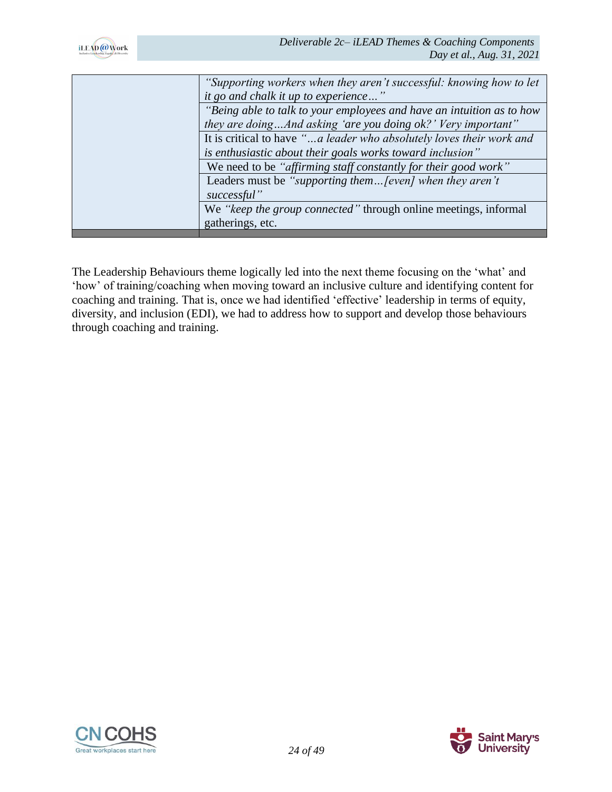

| "Supporting workers when they aren't successful: knowing how to let   |
|-----------------------------------------------------------------------|
| it go and chalk it up to experience"                                  |
| "Being able to talk to your employees and have an intuition as to how |
| they are doingAnd asking 'are you doing ok?' Very important"          |
| It is critical to have "a leader who absolutely loves their work and  |
| is enthusiastic about their goals works toward inclusion"             |
| We need to be "affirming staff constantly for their good work"        |
| Leaders must be "supporting them [even] when they aren't              |
| successful"                                                           |
| We "keep the group connected" through online meetings, informal       |
| gatherings, etc.                                                      |
|                                                                       |

The Leadership Behaviours theme logically led into the next theme focusing on the 'what' and 'how' of training/coaching when moving toward an inclusive culture and identifying content for coaching and training. That is, once we had identified 'effective' leadership in terms of equity, diversity, and inclusion (EDI), we had to address how to support and develop those behaviours through coaching and training.



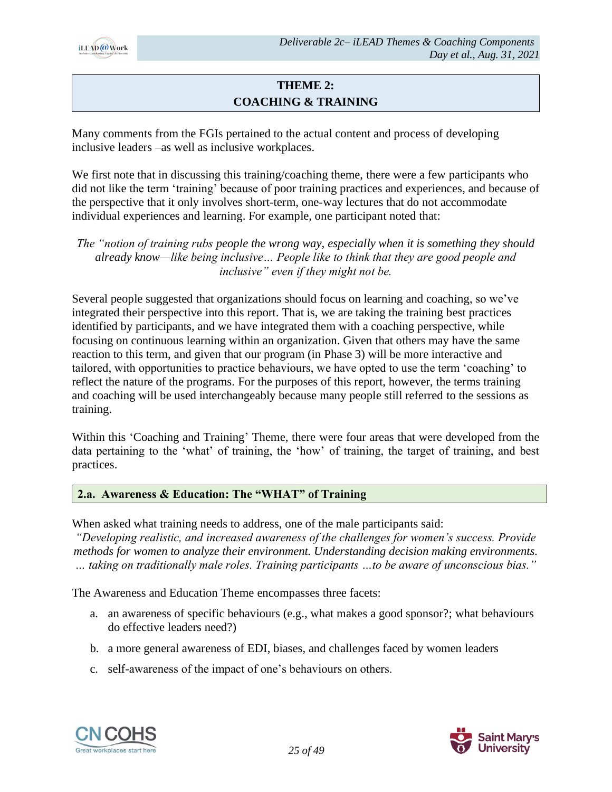

# **THEME 2: COACHING & TRAINING**

Many comments from the FGIs pertained to the actual content and process of developing inclusive leaders –as well as inclusive workplaces.

We first note that in discussing this training/coaching theme, there were a few participants who did not like the term 'training' because of poor training practices and experiences, and because of the perspective that it only involves short-term, one-way lectures that do not accommodate individual experiences and learning. For example, one participant noted that:

*The "notion of training rubs people the wrong way, especially when it is something they should already know—like being inclusive… People like to think that they are good people and inclusive" even if they might not be.*

Several people suggested that organizations should focus on learning and coaching, so we've integrated their perspective into this report. That is, we are taking the training best practices identified by participants, and we have integrated them with a coaching perspective, while focusing on continuous learning within an organization. Given that others may have the same reaction to this term, and given that our program (in Phase 3) will be more interactive and tailored, with opportunities to practice behaviours, we have opted to use the term 'coaching' to reflect the nature of the programs. For the purposes of this report, however, the terms training and coaching will be used interchangeably because many people still referred to the sessions as training.

Within this 'Coaching and Training' Theme, there were four areas that were developed from the data pertaining to the 'what' of training, the 'how' of training, the target of training, and best practices.

# **2.a. Awareness & Education: The "WHAT" of Training**

When asked what training needs to address, one of the male participants said:

*"Developing realistic, and increased awareness of the challenges for women's success. Provide methods for women to analyze their environment. Understanding decision making environments. … taking on traditionally male roles. Training participants …to be aware of unconscious bias."*

The Awareness and Education Theme encompasses three facets:

- a. an awareness of specific behaviours (e.g., what makes a good sponsor?; what behaviours do effective leaders need?)
- b. a more general awareness of EDI, biases, and challenges faced by women leaders
- c. self-awareness of the impact of one's behaviours on others.



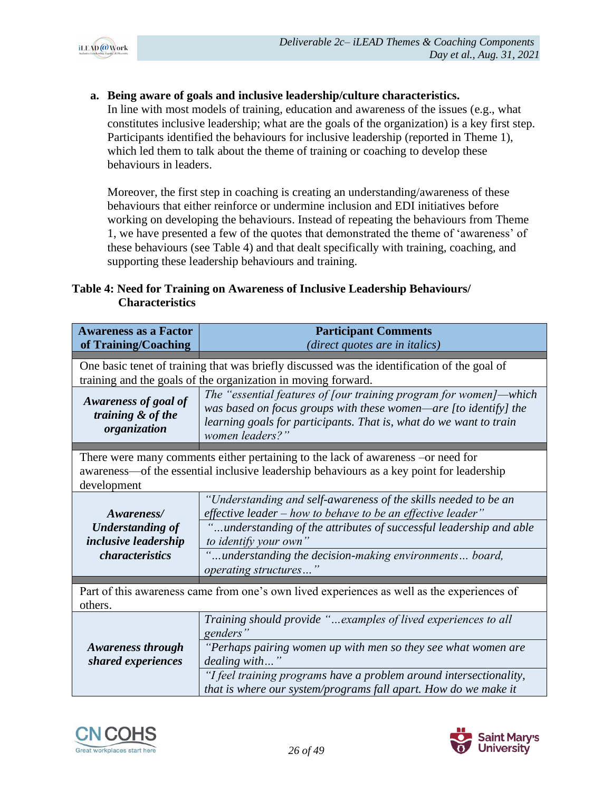

**a. Being aware of goals and inclusive leadership/culture characteristics.** 

In line with most models of training, education and awareness of the issues (e.g., what constitutes inclusive leadership; what are the goals of the organization) is a key first step. Participants identified the behaviours for inclusive leadership (reported in Theme 1), which led them to talk about the theme of training or coaching to develop these behaviours in leaders.

Moreover, the first step in coaching is creating an understanding/awareness of these behaviours that either reinforce or undermine inclusion and EDI initiatives before working on developing the behaviours. Instead of repeating the behaviours from Theme 1, we have presented a few of the quotes that demonstrated the theme of 'awareness' of these behaviours (see Table 4) and that dealt specifically with training, coaching, and supporting these leadership behaviours and training.

### **Table 4: Need for Training on Awareness of Inclusive Leadership Behaviours/ Characteristics**

| <b>Awareness as a Factor</b><br>of Training/Coaching      | <b>Participant Comments</b><br>(direct quotes are in italics)                                                                                                                                                                  |  |  |
|-----------------------------------------------------------|--------------------------------------------------------------------------------------------------------------------------------------------------------------------------------------------------------------------------------|--|--|
|                                                           |                                                                                                                                                                                                                                |  |  |
|                                                           | One basic tenet of training that was briefly discussed was the identification of the goal of<br>training and the goals of the organization in moving forward.                                                                  |  |  |
|                                                           |                                                                                                                                                                                                                                |  |  |
| Awareness of goal of<br>training & of the<br>organization | The "essential features of [our training program for women]—which<br>was based on focus groups with these women—are [to identify] the<br>learning goals for participants. That is, what do we want to train<br>women leaders?" |  |  |
|                                                           |                                                                                                                                                                                                                                |  |  |
| development                                               | There were many comments either pertaining to the lack of awareness – or need for<br>awareness—of the essential inclusive leadership behaviours as a key point for leadership                                                  |  |  |
| Awareness/<br><b>Understanding of</b>                     | "Understanding and self-awareness of the skills needed to be an<br>effective leader – how to behave to be an effective leader"<br>understanding of the attributes of successful leadership and able                            |  |  |
| inclusive leadership                                      | to identify your own"                                                                                                                                                                                                          |  |  |
| <i>characteristics</i>                                    | understanding the decision-making environments board,<br>operating structures"                                                                                                                                                 |  |  |
| others.                                                   | Part of this awareness came from one's own lived experiences as well as the experiences of                                                                                                                                     |  |  |
|                                                           | Training should provide "examples of lived experiences to all<br>genders"                                                                                                                                                      |  |  |
| <b>Awareness through</b><br>shared experiences            | "Perhaps pairing women up with men so they see what women are<br>dealing with"                                                                                                                                                 |  |  |
|                                                           | "I feel training programs have a problem around intersectionality,<br>that is where our system/programs fall apart. How do we make it                                                                                          |  |  |



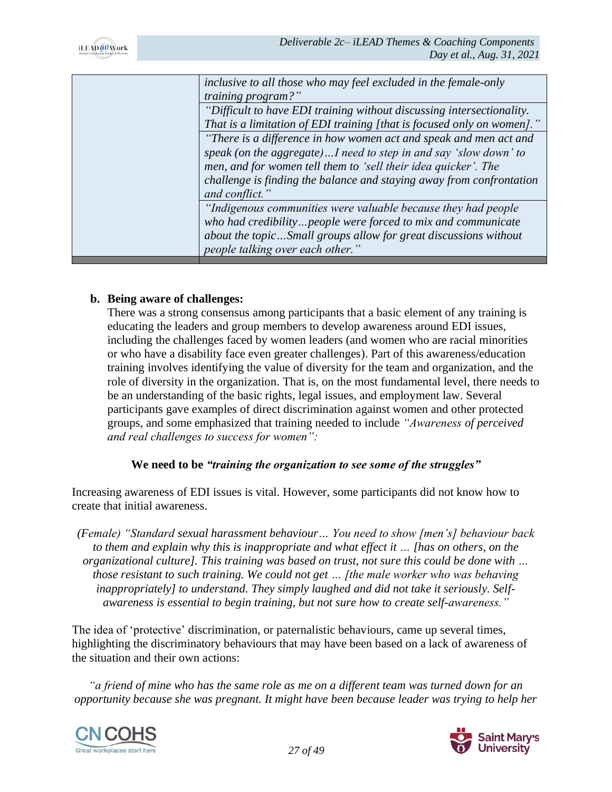

| inclusive to all those who may feel excluded in the female-only        |
|------------------------------------------------------------------------|
| <i>training program?"</i>                                              |
| "Difficult to have EDI training without discussing intersectionality.  |
| That is a limitation of EDI training [that is focused only on women]." |
| "There is a difference in how women act and speak and men act and      |
| speak (on the aggregate)I need to step in and say 'slow down' to       |
| men, and for women tell them to 'sell their idea quicker'. The         |
| challenge is finding the balance and staying away from confrontation   |
| and conflict."                                                         |
| "Indigenous communities were valuable because they had people          |
| who had credibilitypeople were forced to mix and communicate           |
| about the topicSmall groups allow for great discussions without        |
| people talking over each other."                                       |

#### **b. Being aware of challenges:**

There was a strong consensus among participants that a basic element of any training is educating the leaders and group members to develop awareness around EDI issues, including the challenges faced by women leaders (and women who are racial minorities or who have a disability face even greater challenges). Part of this awareness/education training involves identifying the value of diversity for the team and organization, and the role of diversity in the organization. That is, on the most fundamental level, there needs to be an understanding of the basic rights, legal issues, and employment law. Several participants gave examples of direct discrimination against women and other protected groups, and some emphasized that training needed to include *"Awareness of perceived and real challenges to success for women":*

#### **We need to be** *"training the organization to see some of the struggles"*

Increasing awareness of EDI issues is vital. However, some participants did not know how to create that initial awareness.

*(Female) "Standard sexual harassment behaviour… You need to show [men's] behaviour back to them and explain why this is inappropriate and what effect it … [has on others, on the organizational culture]. This training was based on trust, not sure this could be done with … those resistant to such training. We could not get … [the male worker who was behaving inappropriately] to understand. They simply laughed and did not take it seriously. Selfawareness is essential to begin training, but not sure how to create self-awareness."*

The idea of 'protective' discrimination, or paternalistic behaviours, came up several times, highlighting the discriminatory behaviours that may have been based on a lack of awareness of the situation and their own actions:

*"a friend of mine who has the same role as me on a different team was turned down for an opportunity because she was pregnant. It might have been because leader was trying to help her* 



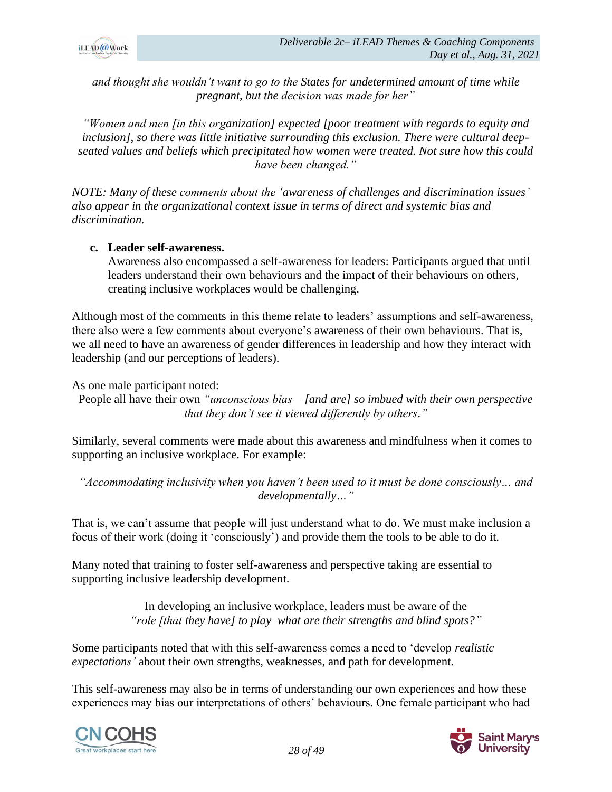

*and thought she wouldn't want to go to the States for undetermined amount of time while pregnant, but the decision was made for her"*

*"Women and men [in this organization] expected [poor treatment with regards to equity and inclusion], so there was little initiative surrounding this exclusion. There were cultural deepseated values and beliefs which precipitated how women were treated. Not sure how this could have been changed."*

*NOTE: Many of these comments about the 'awareness of challenges and discrimination issues' also appear in the organizational context issue in terms of direct and systemic bias and discrimination.*

#### **c. Leader self-awareness.**

Awareness also encompassed a self-awareness for leaders: Participants argued that until leaders understand their own behaviours and the impact of their behaviours on others, creating inclusive workplaces would be challenging.

Although most of the comments in this theme relate to leaders' assumptions and self-awareness, there also were a few comments about everyone's awareness of their own behaviours. That is, we all need to have an awareness of gender differences in leadership and how they interact with leadership (and our perceptions of leaders).

As one male participant noted:

People all have their own *"unconscious bias – [and are] so imbued with their own perspective that they don't see it viewed differently by others."*

Similarly, several comments were made about this awareness and mindfulness when it comes to supporting an inclusive workplace. For example:

*"Accommodating inclusivity when you haven't been used to it must be done consciously… and developmentally…"*

That is, we can't assume that people will just understand what to do. We must make inclusion a focus of their work (doing it 'consciously') and provide them the tools to be able to do it.

Many noted that training to foster self-awareness and perspective taking are essential to supporting inclusive leadership development.

> In developing an inclusive workplace, leaders must be aware of the *"role [that they have] to play–what are their strengths and blind spots?"*

Some participants noted that with this self-awareness comes a need to 'develop *realistic expectations'* about their own strengths, weaknesses, and path for development.

This self-awareness may also be in terms of understanding our own experiences and how these experiences may bias our interpretations of others' behaviours. One female participant who had



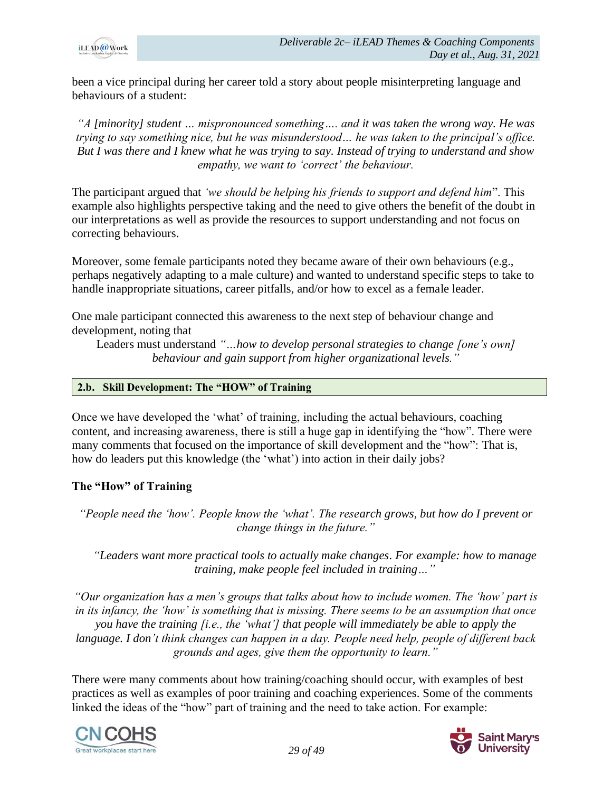

been a vice principal during her career told a story about people misinterpreting language and behaviours of a student:

*"A [minority] student … mispronounced something…. and it was taken the wrong way. He was trying to say something nice, but he was misunderstood… he was taken to the principal's office. But I was there and I knew what he was trying to say. Instead of trying to understand and show empathy, we want to 'correct' the behaviour.*

The participant argued that *'we should be helping his friends to support and defend him*". This example also highlights perspective taking and the need to give others the benefit of the doubt in our interpretations as well as provide the resources to support understanding and not focus on correcting behaviours.

Moreover, some female participants noted they became aware of their own behaviours (e.g., perhaps negatively adapting to a male culture) and wanted to understand specific steps to take to handle inappropriate situations, career pitfalls, and/or how to excel as a female leader.

One male participant connected this awareness to the next step of behaviour change and development, noting that

Leaders must understand *"…how to develop personal strategies to change [one's own] behaviour and gain support from higher organizational levels."*

#### **2.b. Skill Development: The "HOW" of Training**

Once we have developed the 'what' of training, including the actual behaviours, coaching content, and increasing awareness, there is still a huge gap in identifying the "how". There were many comments that focused on the importance of skill development and the "how": That is, how do leaders put this knowledge (the 'what') into action in their daily jobs?

#### **The "How" of Training**

*"People need the 'how'. People know the 'what'. The research grows, but how do I prevent or change things in the future."*

*"Leaders want more practical tools to actually make changes. For example: how to manage training, make people feel included in training…"*

*"Our organization has a men's groups that talks about how to include women. The 'how' part is in its infancy, the 'how' is something that is missing. There seems to be an assumption that once you have the training [i.e., the 'what'] that people will immediately be able to apply the language. I don't think changes can happen in a day. People need help, people of different back grounds and ages, give them the opportunity to learn."*

There were many comments about how training/coaching should occur, with examples of best practices as well as examples of poor training and coaching experiences. Some of the comments linked the ideas of the "how" part of training and the need to take action. For example:



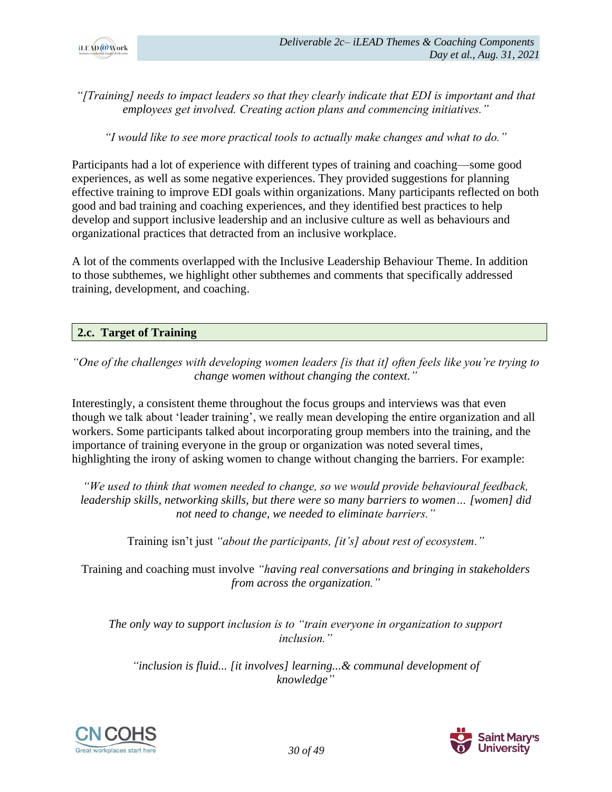

*"[Training] needs to impact leaders so that they clearly indicate that EDI is important and that employees get involved. Creating action plans and commencing initiatives."*

*"I would like to see more practical tools to actually make changes and what to do."*

Participants had a lot of experience with different types of training and coaching—some good experiences, as well as some negative experiences. They provided suggestions for planning effective training to improve EDI goals within organizations. Many participants reflected on both good and bad training and coaching experiences, and they identified best practices to help develop and support inclusive leadership and an inclusive culture as well as behaviours and organizational practices that detracted from an inclusive workplace.

A lot of the comments overlapped with the Inclusive Leadership Behaviour Theme. In addition to those subthemes, we highlight other subthemes and comments that specifically addressed training, development, and coaching.

#### **2.c. Target of Training**

# *"One of the challenges with developing women leaders [is that it] often feels like you're trying to change women without changing the context."*

Interestingly, a consistent theme throughout the focus groups and interviews was that even though we talk about 'leader training', we really mean developing the entire organization and all workers. Some participants talked about incorporating group members into the training, and the importance of training everyone in the group or organization was noted several times, highlighting the irony of asking women to change without changing the barriers. For example:

*"We used to think that women needed to change, so we would provide behavioural feedback, leadership skills, networking skills, but there were so many barriers to women… [women] did not need to change, we needed to eliminate barriers."*

Training isn't just *"about the participants, [it's] about rest of ecosystem."*

Training and coaching must involve *"having real conversations and bringing in stakeholders from across the organization."*

*The only way to support inclusion is to "train everyone in organization to support inclusion."*

*"inclusion is fluid... [it involves] learning...& communal development of knowledge"*



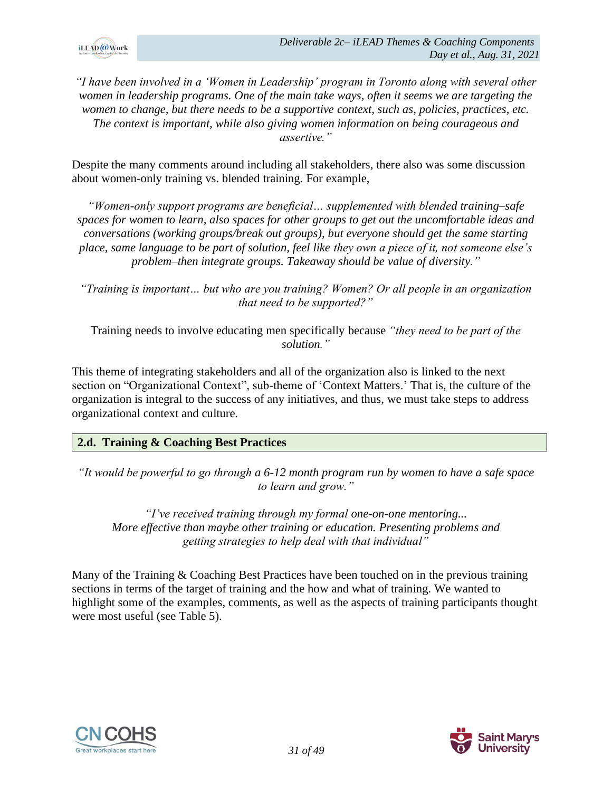

*"I have been involved in a 'Women in Leadership' program in Toronto along with several other women in leadership programs. One of the main take ways, often it seems we are targeting the women to change, but there needs to be a supportive context, such as, policies, practices, etc. The context is important, while also giving women information on being courageous and assertive."*

Despite the many comments around including all stakeholders, there also was some discussion about women-only training vs. blended training. For example,

*"Women-only support programs are beneficial… supplemented with blended training–safe spaces for women to learn, also spaces for other groups to get out the uncomfortable ideas and conversations (working groups/break out groups), but everyone should get the same starting place, same language to be part of solution, feel like they own a piece of it, not someone else's problem–then integrate groups. Takeaway should be value of diversity."*

*"Training is important… but who are you training? Women? Or all people in an organization that need to be supported?"*

Training needs to involve educating men specifically because *"they need to be part of the solution."*

This theme of integrating stakeholders and all of the organization also is linked to the next section on "Organizational Context", sub-theme of 'Context Matters.' That is, the culture of the organization is integral to the success of any initiatives, and thus, we must take steps to address organizational context and culture.

# **2.d. Training & Coaching Best Practices**

*"It would be powerful to go through a 6-12 month program run by women to have a safe space to learn and grow."*

*"I've received training through my formal one-on-one mentoring... More effective than maybe other training or education. Presenting problems and getting strategies to help deal with that individual"*

Many of the Training & Coaching Best Practices have been touched on in the previous training sections in terms of the target of training and the how and what of training. We wanted to highlight some of the examples, comments, as well as the aspects of training participants thought were most useful (see Table 5).



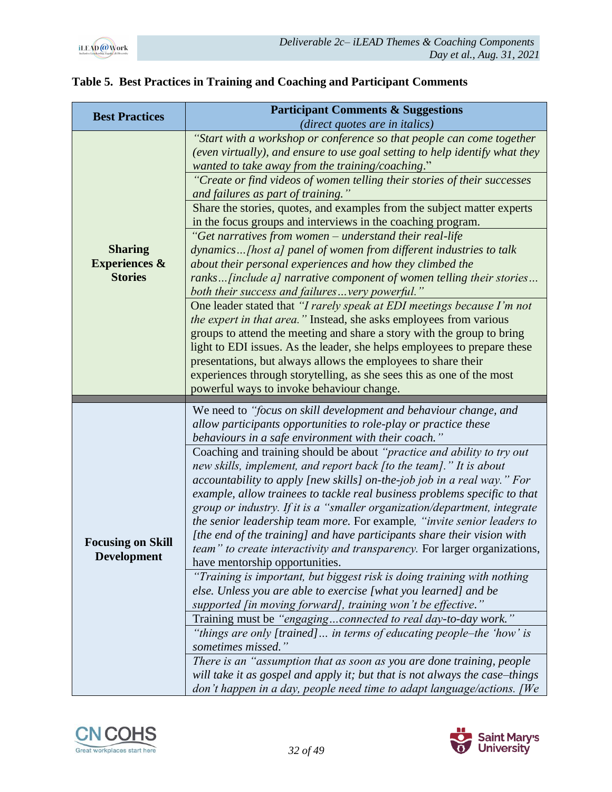

| <b>Best Practices</b>                                        | <b>Participant Comments &amp; Suggestions</b>                                                                                                                                                                                                                                                                                                                                                                                                                                                                                                                                                                                                                                                                         |
|--------------------------------------------------------------|-----------------------------------------------------------------------------------------------------------------------------------------------------------------------------------------------------------------------------------------------------------------------------------------------------------------------------------------------------------------------------------------------------------------------------------------------------------------------------------------------------------------------------------------------------------------------------------------------------------------------------------------------------------------------------------------------------------------------|
|                                                              | (direct quotes are in italics)                                                                                                                                                                                                                                                                                                                                                                                                                                                                                                                                                                                                                                                                                        |
|                                                              | "Start with a workshop or conference so that people can come together<br>(even virtually), and ensure to use goal setting to help identify what they<br>wanted to take away from the training/coaching."                                                                                                                                                                                                                                                                                                                                                                                                                                                                                                              |
|                                                              | "Create or find videos of women telling their stories of their successes<br>and failures as part of training."                                                                                                                                                                                                                                                                                                                                                                                                                                                                                                                                                                                                        |
| <b>Sharing</b><br><b>Experiences &amp;</b><br><b>Stories</b> | Share the stories, quotes, and examples from the subject matter experts<br>in the focus groups and interviews in the coaching program.                                                                                                                                                                                                                                                                                                                                                                                                                                                                                                                                                                                |
|                                                              | "Get narratives from women - understand their real-life<br>dynamics[host a] panel of women from different industries to talk<br>about their personal experiences and how they climbed the<br>ranks [include a] narrative component of women telling their stories<br>both their success and failuresvery powerful."                                                                                                                                                                                                                                                                                                                                                                                                   |
|                                                              | One leader stated that "I rarely speak at EDI meetings because I'm not<br><i>the expert in that area.</i> " Instead, she asks employees from various<br>groups to attend the meeting and share a story with the group to bring<br>light to EDI issues. As the leader, she helps employees to prepare these<br>presentations, but always allows the employees to share their<br>experiences through storytelling, as she sees this as one of the most<br>powerful ways to invoke behaviour change.                                                                                                                                                                                                                     |
|                                                              |                                                                                                                                                                                                                                                                                                                                                                                                                                                                                                                                                                                                                                                                                                                       |
|                                                              |                                                                                                                                                                                                                                                                                                                                                                                                                                                                                                                                                                                                                                                                                                                       |
|                                                              | We need to "focus on skill development and behaviour change, and<br>allow participants opportunities to role-play or practice these                                                                                                                                                                                                                                                                                                                                                                                                                                                                                                                                                                                   |
| <b>Focusing on Skill</b><br><b>Development</b>               | behaviours in a safe environment with their coach."<br>Coaching and training should be about "practice and ability to try out<br>new skills, implement, and report back [to the team]." It is about<br>accountability to apply [new skills] on-the-job job in a real way." For<br>example, allow trainees to tackle real business problems specific to that<br>group or industry. If it is a "smaller organization/department, integrate<br>the senior leadership team more. For example, "invite senior leaders to<br>[the end of the training] and have participants share their vision with<br><i>team</i> " to create interactivity and transparency. For larger organizations,<br>have mentorship opportunities. |
|                                                              | "Training is important, but biggest risk is doing training with nothing<br>else. Unless you are able to exercise [what you learned] and be<br>supported [in moving forward], training won't be effective."                                                                                                                                                                                                                                                                                                                                                                                                                                                                                                            |
|                                                              | Training must be "engagingconnected to real day-to-day work."                                                                                                                                                                                                                                                                                                                                                                                                                                                                                                                                                                                                                                                         |
|                                                              | "things are only [trained] in terms of educating people-the 'how' is<br>sometimes missed."<br>There is an "assumption that as soon as you are done training, people                                                                                                                                                                                                                                                                                                                                                                                                                                                                                                                                                   |

# **Table 5. Best Practices in Training and Coaching and Participant Comments**



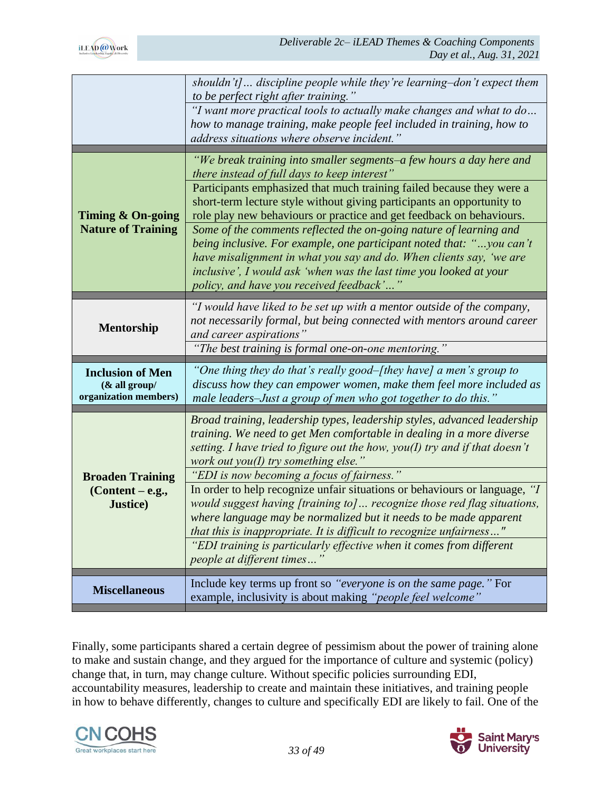|                                                                    | shouldn't] discipline people while they're learning-don't expect them<br>to be perfect right after training."                                                                                                                                                                                                                      |
|--------------------------------------------------------------------|------------------------------------------------------------------------------------------------------------------------------------------------------------------------------------------------------------------------------------------------------------------------------------------------------------------------------------|
|                                                                    | "I want more practical tools to actually make changes and what to do<br>how to manage training, make people feel included in training, how to<br>address situations where observe incident.                                                                                                                                        |
|                                                                    | "We break training into smaller segments–a few hours a day here and<br><i>there instead of full days to keep interest</i> "                                                                                                                                                                                                        |
| Timing & On-going                                                  | Participants emphasized that much training failed because they were a<br>short-term lecture style without giving participants an opportunity to<br>role play new behaviours or practice and get feedback on behaviours.                                                                                                            |
| <b>Nature of Training</b>                                          | Some of the comments reflected the on-going nature of learning and<br>being inclusive. For example, one participant noted that: "you can't<br>have misalignment in what you say and do. When clients say, 'we are<br>inclusive', I would ask 'when was the last time you looked at your<br>policy, and have you received feedback' |
| Mentorship                                                         | "I would have liked to be set up with a mentor outside of the company,<br>not necessarily formal, but being connected with mentors around career<br>and career aspirations"                                                                                                                                                        |
|                                                                    |                                                                                                                                                                                                                                                                                                                                    |
|                                                                    | "The best training is formal one-on-one mentoring."                                                                                                                                                                                                                                                                                |
| <b>Inclusion of Men</b><br>$&$ all group/<br>organization members) | "One thing they do that's really good–[they have] a men's group to<br>discuss how they can empower women, make them feel more included as<br>male leaders-Just a group of men who got together to do this."                                                                                                                        |
|                                                                    | Broad training, leadership types, leadership styles, advanced leadership<br>training. We need to get Men comfortable in dealing in a more diverse<br>setting. I have tried to figure out the how, you(I) try and if that doesn't<br>work out you(I) try something else."                                                           |
|                                                                    | "EDI is now becoming a focus of fairness."                                                                                                                                                                                                                                                                                         |
| <b>Broaden Training</b><br>$(Content - e.g.,$<br><b>Justice</b> )  | In order to help recognize unfair situations or behaviours or language, "I<br>would suggest having [training to] recognize those red flag situations,<br>where language may be normalized but it needs to be made apparent<br>that this is inappropriate. It is difficult to recognize unfairness"                                 |
|                                                                    | "EDI training is particularly effective when it comes from different<br>people at different times"                                                                                                                                                                                                                                 |
| <b>Miscellaneous</b>                                               | Include key terms up front so "everyone is on the same page." For<br>example, inclusivity is about making "people feel welcome"                                                                                                                                                                                                    |

Finally, some participants shared a certain degree of pessimism about the power of training alone to make and sustain change, and they argued for the importance of culture and systemic (policy) change that, in turn, may change culture. Without specific policies surrounding EDI, accountability measures, leadership to create and maintain these initiatives, and training people in how to behave differently, changes to culture and specifically EDI are likely to fail. One of the



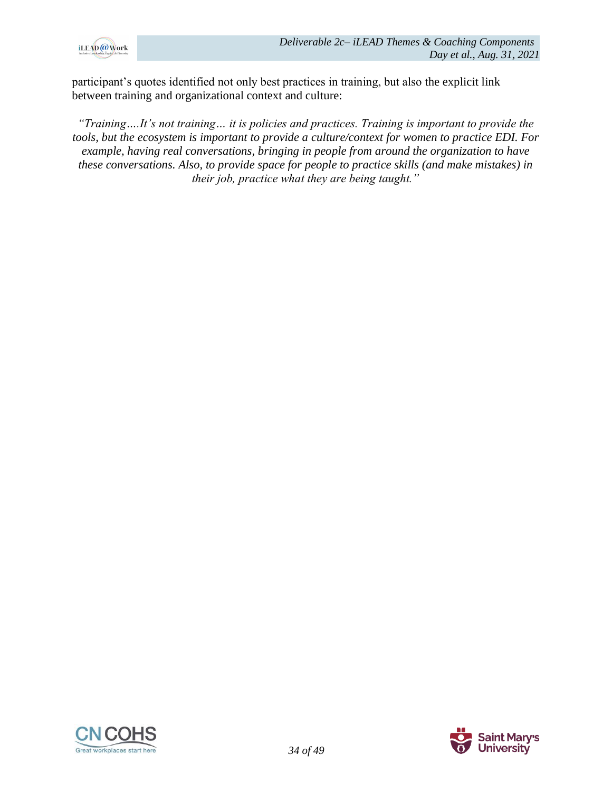

participant's quotes identified not only best practices in training, but also the explicit link between training and organizational context and culture:

*"Training….It's not training… it is policies and practices. Training is important to provide the tools, but the ecosystem is important to provide a culture/context for women to practice EDI. For example, having real conversations, bringing in people from around the organization to have these conversations. Also, to provide space for people to practice skills (and make mistakes) in their job, practice what they are being taught."*



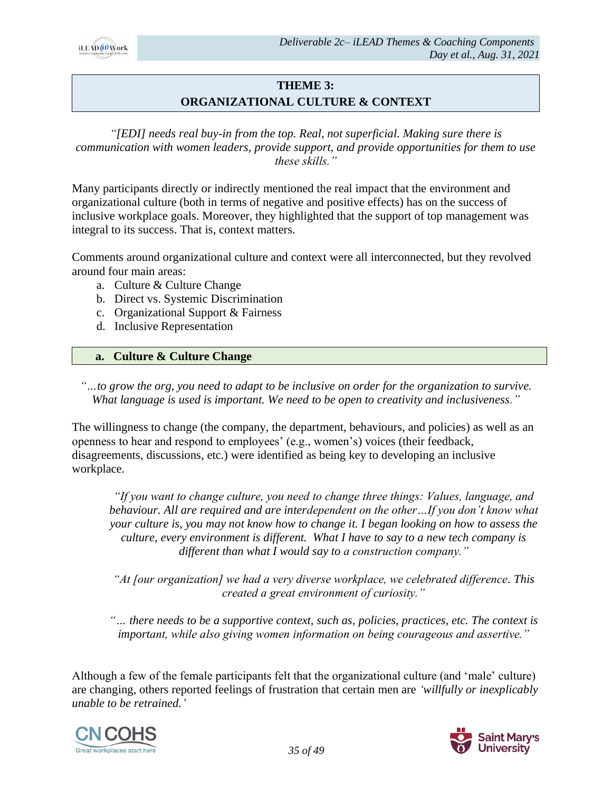

# **THEME 3: ORGANIZATIONAL CULTURE & CONTEXT**

*"[EDI] needs real buy-in from the top. Real, not superficial. Making sure there is communication with women leaders, provide support, and provide opportunities for them to use these skills."*

Many participants directly or indirectly mentioned the real impact that the environment and organizational culture (both in terms of negative and positive effects) has on the success of inclusive workplace goals. Moreover, they highlighted that the support of top management was integral to its success. That is, context matters.

Comments around organizational culture and context were all interconnected, but they revolved around four main areas:

- a. Culture & Culture Change
- b. Direct vs. Systemic Discrimination
- c. Organizational Support & Fairness
- d. Inclusive Representation

#### **a. Culture & Culture Change**

*"…to grow the org, you need to adapt to be inclusive on order for the organization to survive. What language is used is important. We need to be open to creativity and inclusiveness."*

The willingness to change (the company, the department, behaviours, and policies) as well as an openness to hear and respond to employees' (e.g., women's) voices (their feedback, disagreements, discussions, etc.) were identified as being key to developing an inclusive workplace.

*"If you want to change culture, you need to change three things: Values, language, and behaviour. All are required and are interdependent on the other…If you don't know what your culture is, you may not know how to change it. I began looking on how to assess the culture, every environment is different. What I have to say to a new tech company is different than what I would say to a construction company."*

*"At [our organization] we had a very diverse workplace, we celebrated difference. This created a great environment of curiosity."*

*"… there needs to be a supportive context, such as, policies, practices, etc. The context is important, while also giving women information on being courageous and assertive."*

Although a few of the female participants felt that the organizational culture (and 'male' culture) are changing, others reported feelings of frustration that certain men are *'willfully or inexplicably unable to be retrained.'*



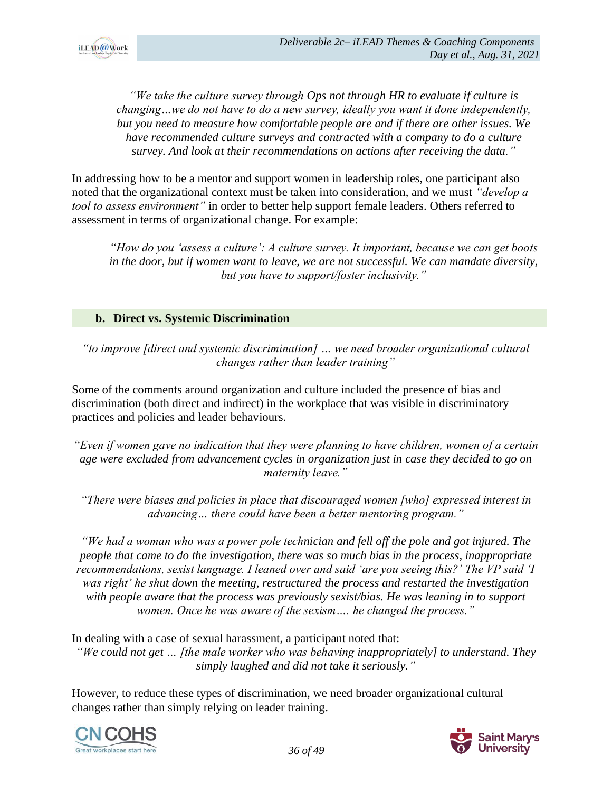

*"We take the culture survey through Ops not through HR to evaluate if culture is changing…we do not have to do a new survey, ideally you want it done independently, but you need to measure how comfortable people are and if there are other issues. We have recommended culture surveys and contracted with a company to do a culture survey. And look at their recommendations on actions after receiving the data."*

In addressing how to be a mentor and support women in leadership roles, one participant also noted that the organizational context must be taken into consideration, and we must *"develop a tool to assess environment"* in order to better help support female leaders. Others referred to assessment in terms of organizational change. For example:

*"How do you 'assess a culture': A culture survey. It important, because we can get boots in the door, but if women want to leave, we are not successful. We can mandate diversity, but you have to support/foster inclusivity."*

#### **b. Direct vs. Systemic Discrimination**

*"to improve [direct and systemic discrimination] … we need broader organizational cultural changes rather than leader training"*

Some of the comments around organization and culture included the presence of bias and discrimination (both direct and indirect) in the workplace that was visible in discriminatory practices and policies and leader behaviours.

*"Even if women gave no indication that they were planning to have children, women of a certain age were excluded from advancement cycles in organization just in case they decided to go on maternity leave."*

*"There were biases and policies in place that discouraged women [who] expressed interest in advancing… there could have been a better mentoring program."*

*"We had a woman who was a power pole technician and fell off the pole and got injured. The people that came to do the investigation, there was so much bias in the process, inappropriate recommendations, sexist language. I leaned over and said 'are you seeing this?' The VP said 'I was right' he shut down the meeting, restructured the process and restarted the investigation with people aware that the process was previously sexist/bias. He was leaning in to support women. Once he was aware of the sexism…. he changed the process."*

In dealing with a case of sexual harassment, a participant noted that: *"We could not get … [the male worker who was behaving inappropriately] to understand. They simply laughed and did not take it seriously."*

However, to reduce these types of discrimination, we need broader organizational cultural changes rather than simply relying on leader training.



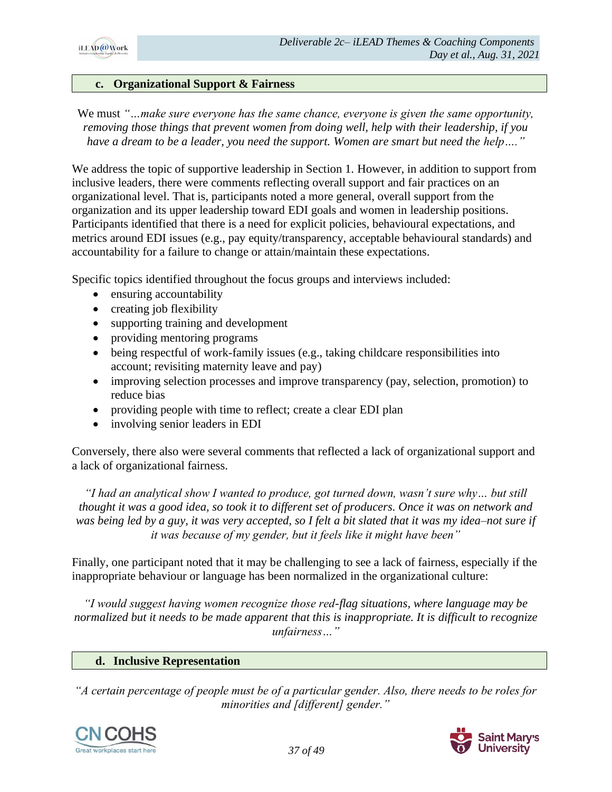

#### **c. Organizational Support & Fairness**

We must *"…make sure everyone has the same chance, everyone is given the same opportunity, removing those things that prevent women from doing well, help with their leadership, if you have a dream to be a leader, you need the support. Women are smart but need the help…."*

We address the topic of supportive leadership in Section 1. However, in addition to support from inclusive leaders, there were comments reflecting overall support and fair practices on an organizational level. That is, participants noted a more general, overall support from the organization and its upper leadership toward EDI goals and women in leadership positions. Participants identified that there is a need for explicit policies, behavioural expectations, and metrics around EDI issues (e.g., pay equity/transparency, acceptable behavioural standards) and accountability for a failure to change or attain/maintain these expectations.

Specific topics identified throughout the focus groups and interviews included:

- ensuring accountability
- creating job flexibility
- supporting training and development
- providing mentoring programs
- being respectful of work-family issues (e.g., taking childcare responsibilities into account; revisiting maternity leave and pay)
- improving selection processes and improve transparency (pay, selection, promotion) to reduce bias
- providing people with time to reflect; create a clear EDI plan
- involving senior leaders in EDI

Conversely, there also were several comments that reflected a lack of organizational support and a lack of organizational fairness.

*"I had an analytical show I wanted to produce, got turned down, wasn't sure why… but still thought it was a good idea, so took it to different set of producers. Once it was on network and was being led by a guy, it was very accepted, so I felt a bit slated that it was my idea–not sure if it was because of my gender, but it feels like it might have been"*

Finally, one participant noted that it may be challenging to see a lack of fairness, especially if the inappropriate behaviour or language has been normalized in the organizational culture:

*"I would suggest having women recognize those red-flag situations, where language may be normalized but it needs to be made apparent that this is inappropriate. It is difficult to recognize unfairness…"*

#### **d. Inclusive Representation**

*"A certain percentage of people must be of a particular gender. Also, there needs to be roles for minorities and [different] gender."*



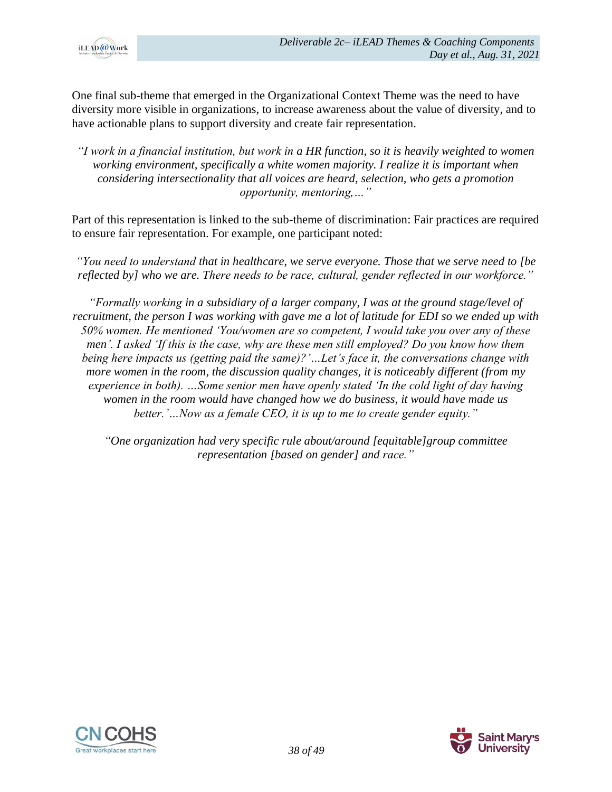

One final sub-theme that emerged in the Organizational Context Theme was the need to have diversity more visible in organizations, to increase awareness about the value of diversity, and to have actionable plans to support diversity and create fair representation.

*"I work in a financial institution, but work in a HR function, so it is heavily weighted to women working environment, specifically a white women majority. I realize it is important when considering intersectionality that all voices are heard, selection, who gets a promotion opportunity, mentoring,…"*

Part of this representation is linked to the sub-theme of discrimination: Fair practices are required to ensure fair representation. For example, one participant noted:

*"You need to understand that in healthcare, we serve everyone. Those that we serve need to [be reflected by] who we are. There needs to be race, cultural, gender reflected in our workforce."*

*"Formally working in a subsidiary of a larger company, I was at the ground stage/level of recruitment, the person I was working with gave me a lot of latitude for EDI so we ended up with 50% women. He mentioned 'You/women are so competent, I would take you over any of these men'. I asked 'If this is the case, why are these men still employed? Do you know how them being here impacts us (getting paid the same)?'…Let's face it, the conversations change with more women in the room, the discussion quality changes, it is noticeably different (from my experience in both). …Some senior men have openly stated 'In the cold light of day having women in the room would have changed how we do business, it would have made us better.'…Now as a female CEO, it is up to me to create gender equity."*

*"One organization had very specific rule about/around [equitable]group committee representation [based on gender] and race."*



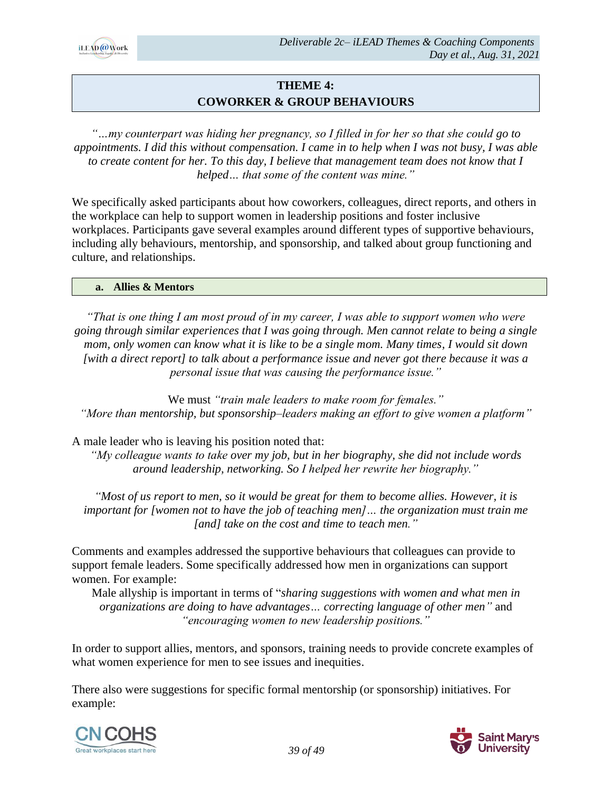

# **THEME 4: COWORKER & GROUP BEHAVIOURS**

*"…my counterpart was hiding her pregnancy, so I filled in for her so that she could go to appointments. I did this without compensation. I came in to help when I was not busy, I was able to create content for her. To this day, I believe that management team does not know that I helped… that some of the content was mine."*

We specifically asked participants about how coworkers, colleagues, direct reports, and others in the workplace can help to support women in leadership positions and foster inclusive workplaces. Participants gave several examples around different types of supportive behaviours, including ally behaviours, mentorship, and sponsorship, and talked about group functioning and culture, and relationships.

#### **a. Allies & Mentors**

*"That is one thing I am most proud of in my career, I was able to support women who were going through similar experiences that I was going through. Men cannot relate to being a single mom, only women can know what it is like to be a single mom. Many times, I would sit down [with a direct report] to talk about a performance issue and never got there because it was a personal issue that was causing the performance issue."*

We must *"train male leaders to make room for females." "More than mentorship, but sponsorship–leaders making an effort to give women a platform"*

A male leader who is leaving his position noted that:

*"My colleague wants to take over my job, but in her biography, she did not include words around leadership, networking. So I helped her rewrite her biography."*

*"Most of us report to men, so it would be great for them to become allies. However, it is important for [women not to have the job of teaching men]… the organization must train me [and] take on the cost and time to teach men."*

Comments and examples addressed the supportive behaviours that colleagues can provide to support female leaders. Some specifically addressed how men in organizations can support women. For example:

Male allyship is important in terms of "*sharing suggestions with women and what men in organizations are doing to have advantages… correcting language of other men"* and *"encouraging women to new leadership positions."*

In order to support allies, mentors, and sponsors, training needs to provide concrete examples of what women experience for men to see issues and inequities.

There also were suggestions for specific formal mentorship (or sponsorship) initiatives. For example:



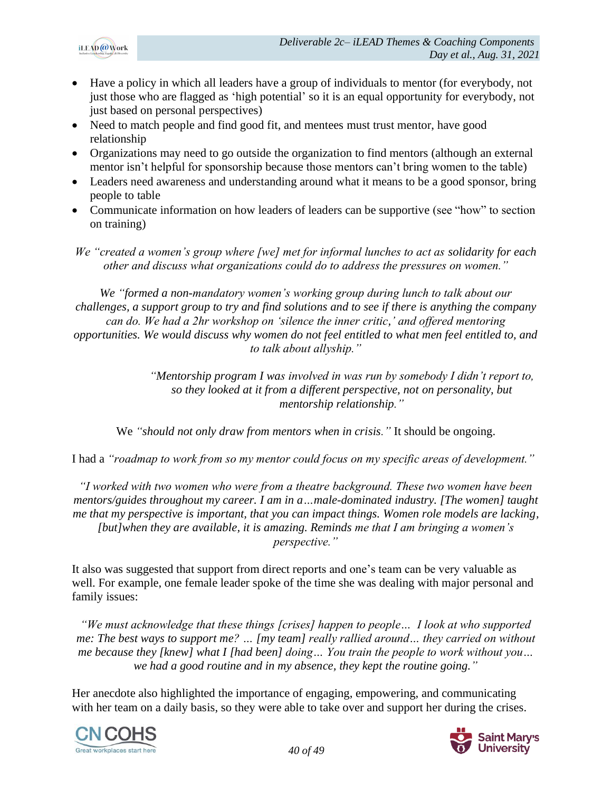

- Have a policy in which all leaders have a group of individuals to mentor (for everybody, not just those who are flagged as 'high potential' so it is an equal opportunity for everybody, not just based on personal perspectives)
- Need to match people and find good fit, and mentees must trust mentor, have good relationship
- Organizations may need to go outside the organization to find mentors (although an external mentor isn't helpful for sponsorship because those mentors can't bring women to the table)
- Leaders need awareness and understanding around what it means to be a good sponsor, bring people to table
- Communicate information on how leaders of leaders can be supportive (see "how" to section on training)
- *We "created a women's group where [we] met for informal lunches to act as solidarity for each other and discuss what organizations could do to address the pressures on women."*

*We "formed a non-mandatory women's working group during lunch to talk about our challenges, a support group to try and find solutions and to see if there is anything the company can do. We had a 2hr workshop on 'silence the inner critic,' and offered mentoring opportunities. We would discuss why women do not feel entitled to what men feel entitled to, and to talk about allyship."*

> *"Mentorship program I was involved in was run by somebody I didn't report to, so they looked at it from a different perspective, not on personality, but mentorship relationship."*

We *"should not only draw from mentors when in crisis."* It should be ongoing.

I had a *"roadmap to work from so my mentor could focus on my specific areas of development."*

*"I worked with two women who were from a theatre background. These two women have been mentors/guides throughout my career. I am in a…male-dominated industry. [The women] taught me that my perspective is important, that you can impact things. Women role models are lacking, [but]when they are available, it is amazing. Reminds me that I am bringing a women's perspective."*

It also was suggested that support from direct reports and one's team can be very valuable as well. For example, one female leader spoke of the time she was dealing with major personal and family issues:

*"We must acknowledge that these things [crises] happen to people… I look at who supported me: The best ways to support me? … [my team] really rallied around… they carried on without me because they [knew] what I [had been] doing… You train the people to work without you… we had a good routine and in my absence, they kept the routine going."*

Her anecdote also highlighted the importance of engaging, empowering, and communicating with her team on a daily basis, so they were able to take over and support her during the crises.



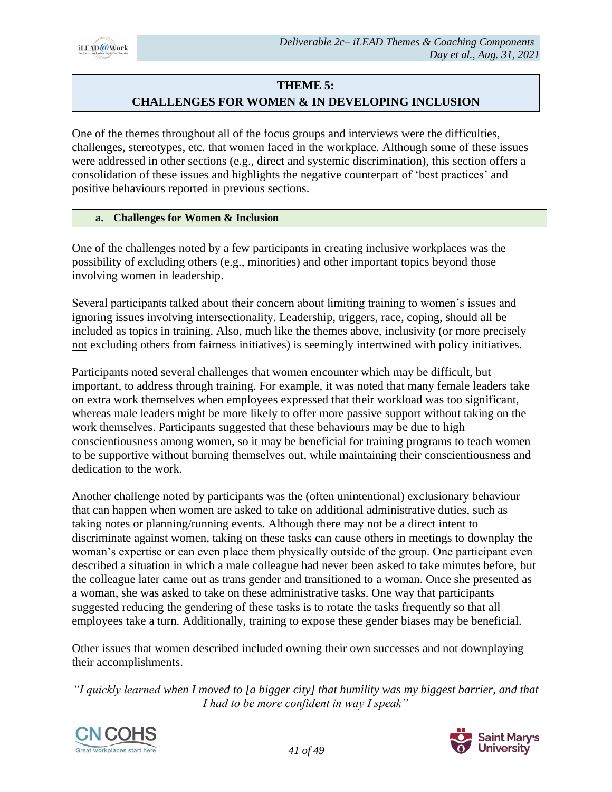

# **THEME 5:**

# **CHALLENGES FOR WOMEN & IN DEVELOPING INCLUSION**

One of the themes throughout all of the focus groups and interviews were the difficulties, challenges, stereotypes, etc. that women faced in the workplace. Although some of these issues were addressed in other sections (e.g., direct and systemic discrimination), this section offers a consolidation of these issues and highlights the negative counterpart of 'best practices' and positive behaviours reported in previous sections.

#### **a. Challenges for Women & Inclusion**

One of the challenges noted by a few participants in creating inclusive workplaces was the possibility of excluding others (e.g., minorities) and other important topics beyond those involving women in leadership.

Several participants talked about their concern about limiting training to women's issues and ignoring issues involving intersectionality. Leadership, triggers, race, coping, should all be included as topics in training. Also, much like the themes above, inclusivity (or more precisely not excluding others from fairness initiatives) is seemingly intertwined with policy initiatives.

Participants noted several challenges that women encounter which may be difficult, but important, to address through training. For example, it was noted that many female leaders take on extra work themselves when employees expressed that their workload was too significant, whereas male leaders might be more likely to offer more passive support without taking on the work themselves. Participants suggested that these behaviours may be due to high conscientiousness among women, so it may be beneficial for training programs to teach women to be supportive without burning themselves out, while maintaining their conscientiousness and dedication to the work.

Another challenge noted by participants was the (often unintentional) exclusionary behaviour that can happen when women are asked to take on additional administrative duties, such as taking notes or planning/running events. Although there may not be a direct intent to discriminate against women, taking on these tasks can cause others in meetings to downplay the woman's expertise or can even place them physically outside of the group. One participant even described a situation in which a male colleague had never been asked to take minutes before, but the colleague later came out as trans gender and transitioned to a woman. Once she presented as a woman, she was asked to take on these administrative tasks. One way that participants suggested reducing the gendering of these tasks is to rotate the tasks frequently so that all employees take a turn. Additionally, training to expose these gender biases may be beneficial.

Other issues that women described included owning their own successes and not downplaying their accomplishments.

*"I quickly learned when I moved to [a bigger city] that humility was my biggest barrier, and that I had to be more confident in way I speak"*



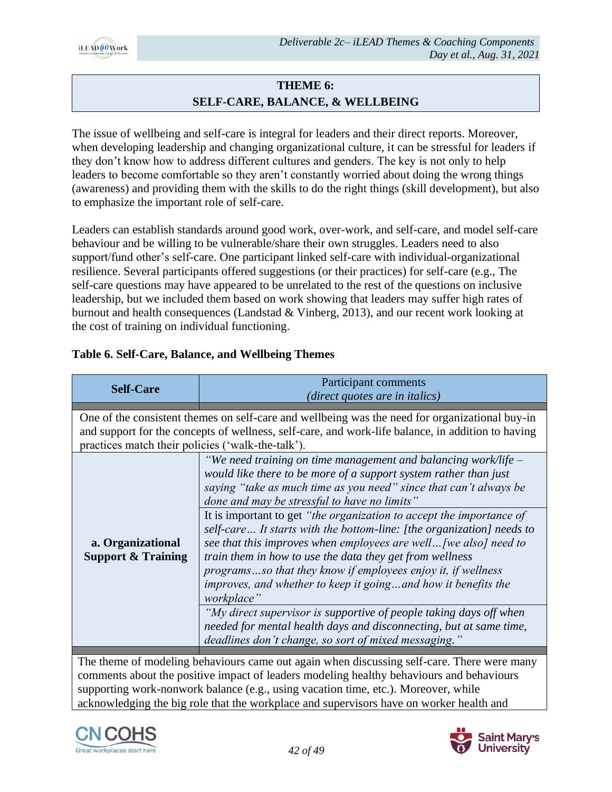

# **THEME 6: SELF-CARE, BALANCE, & WELLBEING**

The issue of wellbeing and self-care is integral for leaders and their direct reports. Moreover, when developing leadership and changing organizational culture, it can be stressful for leaders if they don't know how to address different cultures and genders. The key is not only to help leaders to become comfortable so they aren't constantly worried about doing the wrong things (awareness) and providing them with the skills to do the right things (skill development), but also to emphasize the important role of self-care.

Leaders can establish standards around good work, over-work, and self-care, and model self-care behaviour and be willing to be vulnerable/share their own struggles. Leaders need to also support/fund other's self-care. One participant linked self-care with individual-organizational resilience. Several participants offered suggestions (or their practices) for self-care (e.g., The self-care questions may have appeared to be unrelated to the rest of the questions on inclusive leadership, but we included them based on work showing that leaders may suffer high rates of burnout and health consequences (Landstad & Vinberg, 2013), and our recent work looking at the cost of training on individual functioning.

| <b>Self-Care</b>                                                                                                                                                                                                                                         | Participant comments<br><i>direct quotes are in italics</i> )                                                                                                                                                                                                                                                                                                                                                                                                                                                                                                                                                                                                                                                                                                                                                                                                                                 |  |
|----------------------------------------------------------------------------------------------------------------------------------------------------------------------------------------------------------------------------------------------------------|-----------------------------------------------------------------------------------------------------------------------------------------------------------------------------------------------------------------------------------------------------------------------------------------------------------------------------------------------------------------------------------------------------------------------------------------------------------------------------------------------------------------------------------------------------------------------------------------------------------------------------------------------------------------------------------------------------------------------------------------------------------------------------------------------------------------------------------------------------------------------------------------------|--|
| One of the consistent themes on self-care and wellbeing was the need for organizational buy-in<br>and support for the concepts of wellness, self-care, and work-life balance, in addition to having<br>practices match their policies ('walk-the-talk'). |                                                                                                                                                                                                                                                                                                                                                                                                                                                                                                                                                                                                                                                                                                                                                                                                                                                                                               |  |
| a. Organizational<br><b>Support &amp; Training</b>                                                                                                                                                                                                       | "We need training on time management and balancing work/life $-$<br>would like there to be more of a support system rather than just<br>saying "take as much time as you need" since that can't always be<br>done and may be stressful to have no limits"<br>It is important to get "the organization to accept the importance of<br>self-care It starts with the bottom-line: [the organization] needs to<br>see that this improves when employees are well [we also] need to<br>train them in how to use the data they get from wellness<br>programsso that they know if employees enjoy it, if wellness<br>improves, and whether to keep it goingand how it benefits the<br>workplace"<br>"My direct supervisor is supportive of people taking days off when<br>needed for mental health days and disconnecting, but at same time,<br>deadlines don't change, so sort of mixed messaging." |  |
|                                                                                                                                                                                                                                                          |                                                                                                                                                                                                                                                                                                                                                                                                                                                                                                                                                                                                                                                                                                                                                                                                                                                                                               |  |

# **Table 6. Self-Care, Balance, and Wellbeing Themes**

The theme of modeling behaviours came out again when discussing self-care. There were many comments about the positive impact of leaders modeling healthy behaviours and behaviours supporting work-nonwork balance (e.g., using vacation time, etc.). Moreover, while acknowledging the big role that the workplace and supervisors have on worker health and



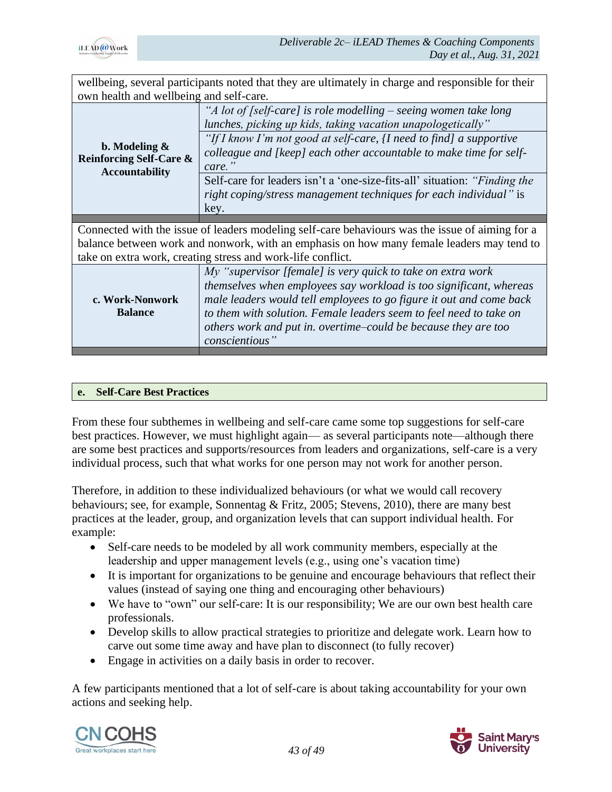

| wellbeing, several participants noted that they are ultimately in charge and responsible for their                                                                                                                                                                                                                                                                 |  |  |
|--------------------------------------------------------------------------------------------------------------------------------------------------------------------------------------------------------------------------------------------------------------------------------------------------------------------------------------------------------------------|--|--|
| own health and wellbeing and self-care.                                                                                                                                                                                                                                                                                                                            |  |  |
| "A lot of [self-care] is role modelling – seeing women take long<br>lunches, picking up kids, taking vacation unapologetically"                                                                                                                                                                                                                                    |  |  |
| "If I know I'm not good at self-care, $\{I \text{ need to find}\}\$ a supportive<br>colleague and [keep] each other accountable to make time for self-<br>care."                                                                                                                                                                                                   |  |  |
| Self-care for leaders isn't a 'one-size-fits-all' situation: "Finding the<br>right coping/stress management techniques for each individual" is<br>key.                                                                                                                                                                                                             |  |  |
|                                                                                                                                                                                                                                                                                                                                                                    |  |  |
| Connected with the issue of leaders modeling self-care behaviours was the issue of aiming for a                                                                                                                                                                                                                                                                    |  |  |
| balance between work and nonwork, with an emphasis on how many female leaders may tend to                                                                                                                                                                                                                                                                          |  |  |
| take on extra work, creating stress and work-life conflict.                                                                                                                                                                                                                                                                                                        |  |  |
| My "supervisor [female] is very quick to take on extra work<br>themselves when employees say workload is too significant, whereas<br>male leaders would tell employees to go figure it out and come back<br>to them with solution. Female leaders seem to feel need to take on<br>others work and put in. overtime-could be because they are too<br>conscientious" |  |  |
|                                                                                                                                                                                                                                                                                                                                                                    |  |  |

#### **e. Self-Care Best Practices**

From these four subthemes in wellbeing and self-care came some top suggestions for self-care best practices. However, we must highlight again— as several participants note—although there are some best practices and supports/resources from leaders and organizations, self-care is a very individual process, such that what works for one person may not work for another person.

Therefore, in addition to these individualized behaviours (or what we would call recovery behaviours; see, for example, Sonnentag & Fritz, 2005; Stevens, 2010), there are many best practices at the leader, group, and organization levels that can support individual health. For example:

- Self-care needs to be modeled by all work community members, especially at the leadership and upper management levels (e.g., using one's vacation time)
- It is important for organizations to be genuine and encourage behaviours that reflect their values (instead of saying one thing and encouraging other behaviours)
- We have to "own" our self-care: It is our responsibility; We are our own best health care professionals.
- Develop skills to allow practical strategies to prioritize and delegate work. Learn how to carve out some time away and have plan to disconnect (to fully recover)
- Engage in activities on a daily basis in order to recover.

A few participants mentioned that a lot of self-care is about taking accountability for your own actions and seeking help.



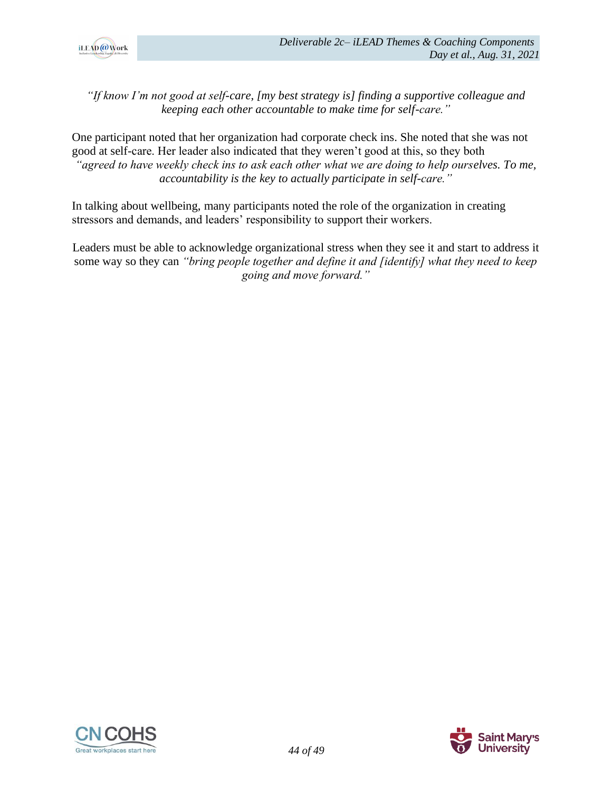

*"If know I'm not good at self-care, [my best strategy is] finding a supportive colleague and keeping each other accountable to make time for self-care."*

One participant noted that her organization had corporate check ins. She noted that she was not good at self-care. Her leader also indicated that they weren't good at this, so they both *"agreed to have weekly check ins to ask each other what we are doing to help ourselves. To me, accountability is the key to actually participate in self-care."*

In talking about wellbeing, many participants noted the role of the organization in creating stressors and demands, and leaders' responsibility to support their workers.

Leaders must be able to acknowledge organizational stress when they see it and start to address it some way so they can *"bring people together and define it and [identify] what they need to keep going and move forward."*



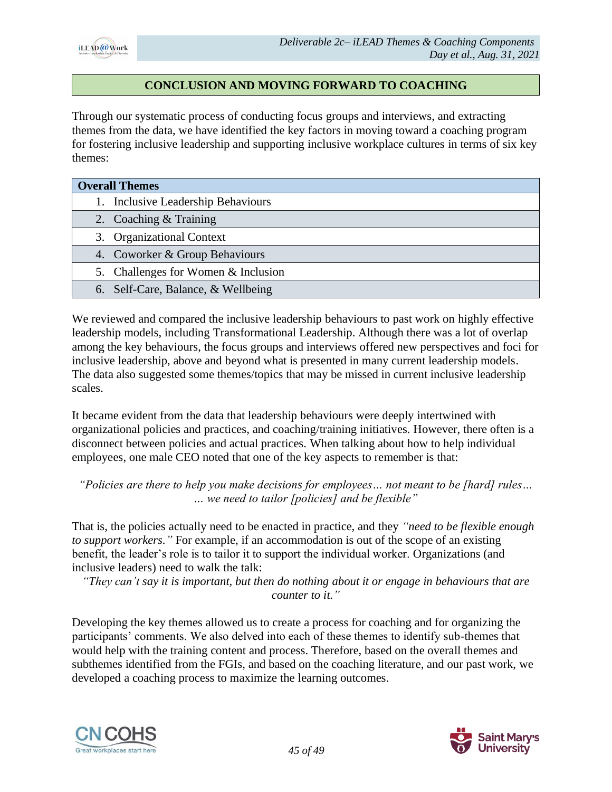

# **CONCLUSION AND MOVING FORWARD TO COACHING**

Through our systematic process of conducting focus groups and interviews, and extracting themes from the data, we have identified the key factors in moving toward a coaching program for fostering inclusive leadership and supporting inclusive workplace cultures in terms of six key themes:

| <b>Overall Themes</b>               |  |  |
|-------------------------------------|--|--|
| 1. Inclusive Leadership Behaviours  |  |  |
| 2. Coaching & Training              |  |  |
| 3. Organizational Context           |  |  |
| 4. Coworker & Group Behaviours      |  |  |
| 5. Challenges for Women & Inclusion |  |  |
| 6. Self-Care, Balance, & Wellbeing  |  |  |

We reviewed and compared the inclusive leadership behaviours to past work on highly effective leadership models, including Transformational Leadership. Although there was a lot of overlap among the key behaviours, the focus groups and interviews offered new perspectives and foci for inclusive leadership, above and beyond what is presented in many current leadership models. The data also suggested some themes/topics that may be missed in current inclusive leadership scales.

It became evident from the data that leadership behaviours were deeply intertwined with organizational policies and practices, and coaching/training initiatives. However, there often is a disconnect between policies and actual practices. When talking about how to help individual employees, one male CEO noted that one of the key aspects to remember is that:

*"Policies are there to help you make decisions for employees… not meant to be [hard] rules… … we need to tailor [policies] and be flexible"*

That is, the policies actually need to be enacted in practice, and they *"need to be flexible enough to support workers."* For example, if an accommodation is out of the scope of an existing benefit, the leader's role is to tailor it to support the individual worker. Organizations (and inclusive leaders) need to walk the talk:

*"They can't say it is important, but then do nothing about it or engage in behaviours that are counter to it."*

Developing the key themes allowed us to create a process for coaching and for organizing the participants' comments. We also delved into each of these themes to identify sub-themes that would help with the training content and process. Therefore, based on the overall themes and subthemes identified from the FGIs, and based on the coaching literature, and our past work, we developed a coaching process to maximize the learning outcomes.



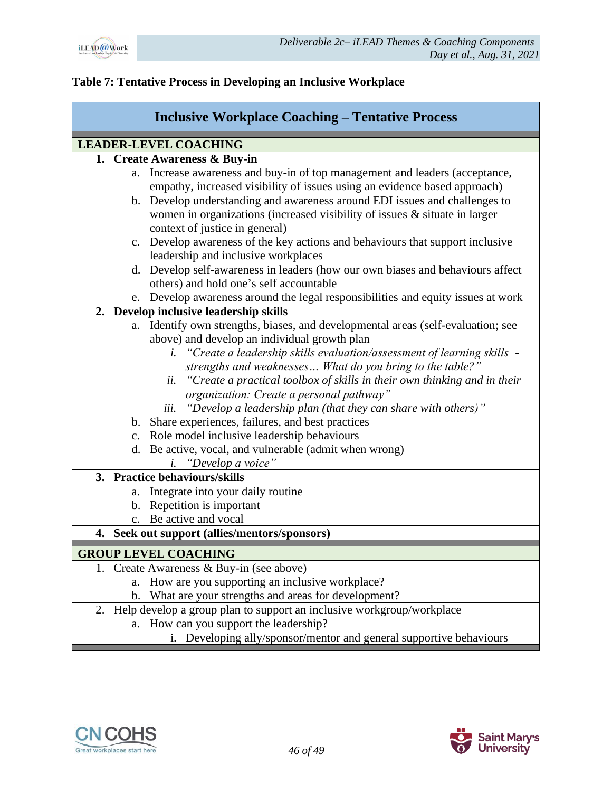

# **Table 7: Tentative Process in Developing an Inclusive Workplace**

| <b>Inclusive Workplace Coaching – Tentative Process</b> |                                                                                                                       |  |
|---------------------------------------------------------|-----------------------------------------------------------------------------------------------------------------------|--|
|                                                         | <b>LEADER-LEVEL COACHING</b>                                                                                          |  |
|                                                         | 1. Create Awareness & Buy-in                                                                                          |  |
|                                                         | Increase awareness and buy-in of top management and leaders (acceptance,<br>a.                                        |  |
|                                                         | empathy, increased visibility of issues using an evidence based approach)                                             |  |
|                                                         | b. Develop understanding and awareness around EDI issues and challenges to                                            |  |
|                                                         | women in organizations (increased visibility of issues $\&$ situate in larger                                         |  |
|                                                         | context of justice in general)                                                                                        |  |
|                                                         | c. Develop awareness of the key actions and behaviours that support inclusive                                         |  |
|                                                         | leadership and inclusive workplaces<br>d. Develop self-awareness in leaders (how our own biases and behaviours affect |  |
|                                                         | others) and hold one's self accountable                                                                               |  |
|                                                         | e. Develop awareness around the legal responsibilities and equity issues at work                                      |  |
|                                                         | 2. Develop inclusive leadership skills                                                                                |  |
|                                                         | Identify own strengths, biases, and developmental areas (self-evaluation; see<br>а.                                   |  |
|                                                         | above) and develop an individual growth plan                                                                          |  |
|                                                         | "Create a leadership skills evaluation/assessment of learning skills -<br>i.                                          |  |
|                                                         | strengths and weaknesses What do you bring to the table?"                                                             |  |
|                                                         | "Create a practical toolbox of skills in their own thinking and in their<br>ii.                                       |  |
|                                                         | organization: Create a personal pathway"                                                                              |  |
|                                                         | "Develop a leadership plan (that they can share with others)"<br>iii.                                                 |  |
|                                                         | b. Share experiences, failures, and best practices                                                                    |  |
|                                                         | c. Role model inclusive leadership behaviours                                                                         |  |
|                                                         | d. Be active, vocal, and vulnerable (admit when wrong)                                                                |  |
|                                                         | "Develop a voice"<br>i.                                                                                               |  |
|                                                         | 3. Practice behaviours/skills                                                                                         |  |
|                                                         | Integrate into your daily routine<br>a.                                                                               |  |
|                                                         | b. Repetition is important                                                                                            |  |
|                                                         | Be active and vocal<br>$\mathbf{c}$ .                                                                                 |  |
| 4. Seek out support (allies/mentors/sponsors)           |                                                                                                                       |  |
|                                                         | <b>GROUP LEVEL COACHING</b>                                                                                           |  |
|                                                         | 1. Create Awareness & Buy-in (see above)                                                                              |  |
|                                                         | a. How are you supporting an inclusive workplace?                                                                     |  |
|                                                         | b. What are your strengths and areas for development?                                                                 |  |
|                                                         | 2. Help develop a group plan to support an inclusive workgroup/workplace                                              |  |

- a. How can you support the leadership?
	- i. Developing ally/sponsor/mentor and general supportive behaviours



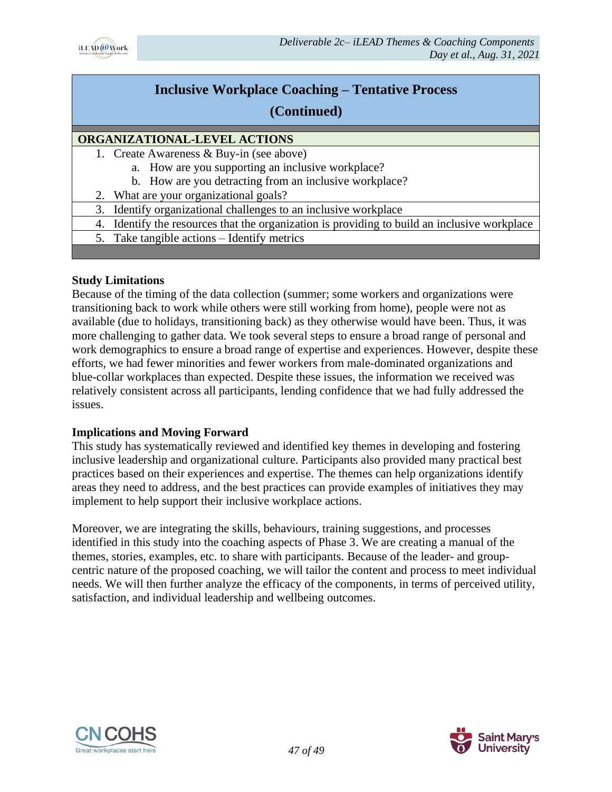

# **Inclusive Workplace Coaching – Tentative Process**

# **(Continued)**

# **ORGANIZATIONAL-LEVEL ACTIONS**

- 1. Create Awareness & Buy-in (see above)
	- a. How are you supporting an inclusive workplace?
	- b. How are you detracting from an inclusive workplace?
- 2. What are your organizational goals?
- 3. Identify organizational challenges to an inclusive workplace
- 4. Identify the resources that the organization is providing to build an inclusive workplace
	- 5. Take tangible actions Identify metrics

#### **Study Limitations**

Because of the timing of the data collection (summer; some workers and organizations were transitioning back to work while others were still working from home), people were not as available (due to holidays, transitioning back) as they otherwise would have been. Thus, it was more challenging to gather data. We took several steps to ensure a broad range of personal and work demographics to ensure a broad range of expertise and experiences. However, despite these efforts, we had fewer minorities and fewer workers from male-dominated organizations and blue-collar workplaces than expected. Despite these issues, the information we received was relatively consistent across all participants, lending confidence that we had fully addressed the issues.

# **Implications and Moving Forward**

This study has systematically reviewed and identified key themes in developing and fostering inclusive leadership and organizational culture. Participants also provided many practical best practices based on their experiences and expertise. The themes can help organizations identify areas they need to address, and the best practices can provide examples of initiatives they may implement to help support their inclusive workplace actions.

Moreover, we are integrating the skills, behaviours, training suggestions, and processes identified in this study into the coaching aspects of Phase 3. We are creating a manual of the themes, stories, examples, etc. to share with participants. Because of the leader- and groupcentric nature of the proposed coaching, we will tailor the content and process to meet individual needs. We will then further analyze the efficacy of the components, in terms of perceived utility, satisfaction, and individual leadership and wellbeing outcomes.



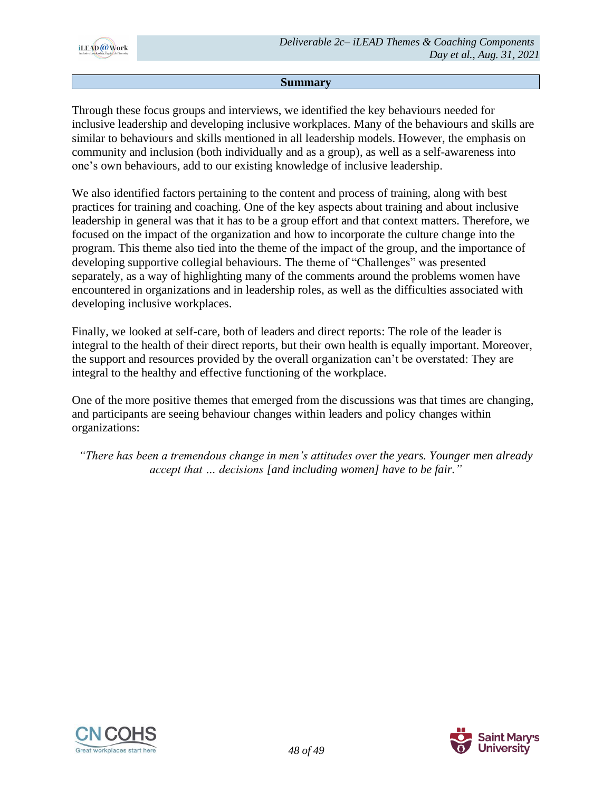

#### **Summary**

Through these focus groups and interviews, we identified the key behaviours needed for inclusive leadership and developing inclusive workplaces. Many of the behaviours and skills are similar to behaviours and skills mentioned in all leadership models. However, the emphasis on community and inclusion (both individually and as a group), as well as a self-awareness into one's own behaviours, add to our existing knowledge of inclusive leadership.

We also identified factors pertaining to the content and process of training, along with best practices for training and coaching. One of the key aspects about training and about inclusive leadership in general was that it has to be a group effort and that context matters. Therefore, we focused on the impact of the organization and how to incorporate the culture change into the program. This theme also tied into the theme of the impact of the group, and the importance of developing supportive collegial behaviours. The theme of "Challenges" was presented separately, as a way of highlighting many of the comments around the problems women have encountered in organizations and in leadership roles, as well as the difficulties associated with developing inclusive workplaces.

Finally, we looked at self-care, both of leaders and direct reports: The role of the leader is integral to the health of their direct reports, but their own health is equally important. Moreover, the support and resources provided by the overall organization can't be overstated: They are integral to the healthy and effective functioning of the workplace.

One of the more positive themes that emerged from the discussions was that times are changing, and participants are seeing behaviour changes within leaders and policy changes within organizations:

*"There has been a tremendous change in men's attitudes over the years. Younger men already accept that … decisions [and including women] have to be fair."*